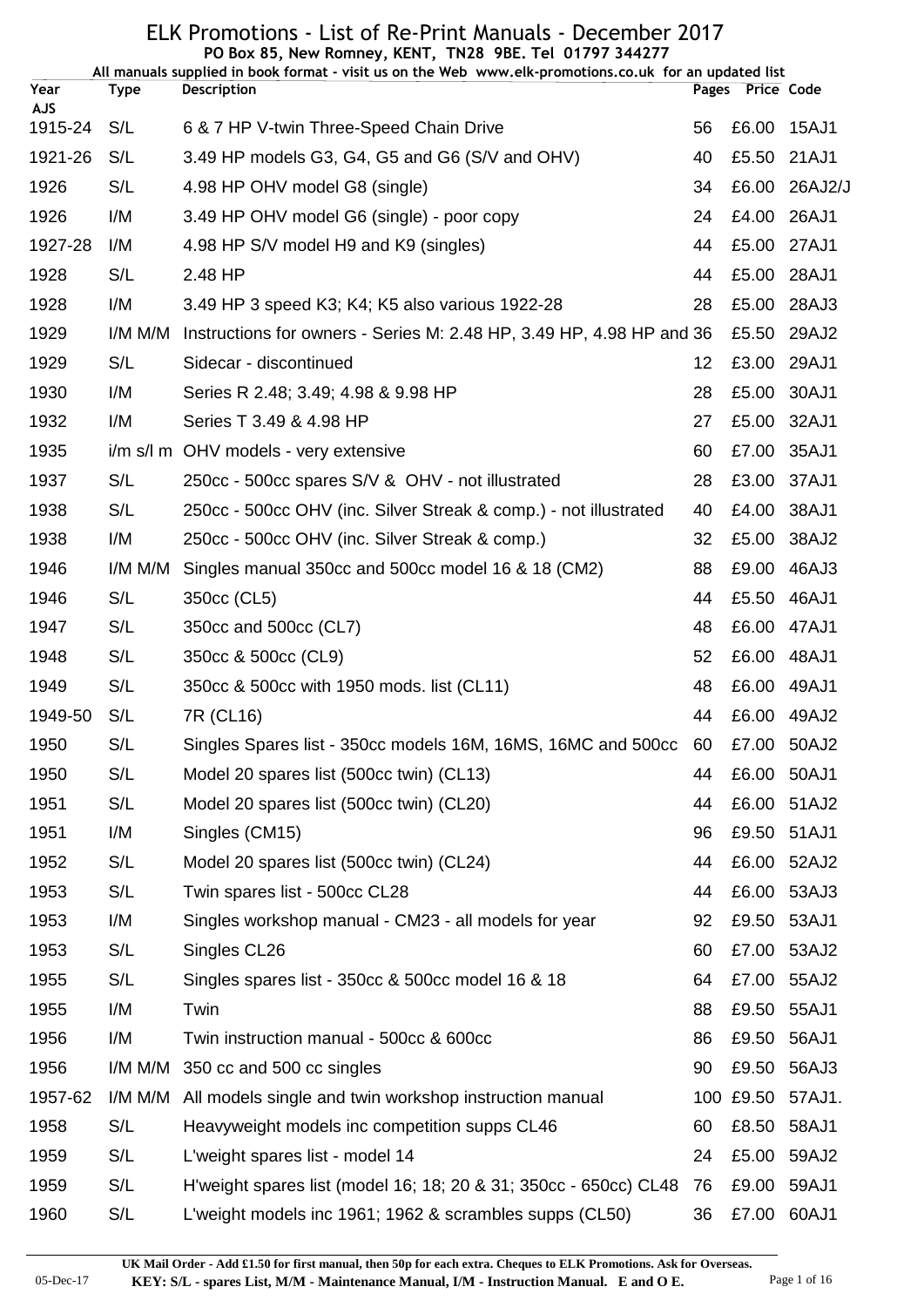|                       |             | PO Box 85, New Romney, KENT, TN28 9BE. Tel 01797 344277<br>All manuals supplied in book format - visit us on the Web www.elk-promotions.co.uk for an updated list |    |                  |               |
|-----------------------|-------------|-------------------------------------------------------------------------------------------------------------------------------------------------------------------|----|------------------|---------------|
| Year                  | <b>Type</b> | <b>Description</b>                                                                                                                                                |    | Pages Price Code |               |
| <b>AJS</b><br>1915-24 | S/L         | 6 & 7 HP V-twin Three-Speed Chain Drive                                                                                                                           | 56 | £6.00            | 15AJ1         |
| 1921-26               | S/L         | 3.49 HP models G3, G4, G5 and G6 (S/V and OHV)                                                                                                                    | 40 |                  | £5.50 21AJ1   |
| 1926                  | S/L         | 4.98 HP OHV model G8 (single)                                                                                                                                     | 34 |                  | £6.00 26AJ2/J |
| 1926                  | I/M         | 3.49 HP OHV model G6 (single) - poor copy                                                                                                                         | 24 |                  | £4.00 26AJ1   |
| 1927-28               | I/M         | 4.98 HP S/V model H9 and K9 (singles)                                                                                                                             | 44 |                  | £5.00 27AJ1   |
| 1928                  | S/L         | 2.48 HP                                                                                                                                                           | 44 |                  | £5.00 28AJ1   |
| 1928                  | I/M         | 3.49 HP 3 speed K3; K4; K5 also various 1922-28                                                                                                                   | 28 |                  | £5.00 28AJ3   |
| 1929                  | I/M M/M     | Instructions for owners - Series M: 2.48 HP, 3.49 HP, 4.98 HP and 36                                                                                              |    | £5.50            | 29AJ2         |
| 1929                  | S/L         | Sidecar - discontinued                                                                                                                                            | 12 |                  | £3.00 29AJ1   |
| 1930                  | I/M         | Series R 2.48; 3.49; 4.98 & 9.98 HP                                                                                                                               | 28 |                  | £5.00 30AJ1   |
| 1932                  | I/M         | Series T 3.49 & 4.98 HP                                                                                                                                           | 27 | £5.00 32AJ1      |               |
| 1935                  |             | i/m s/l m OHV models - very extensive                                                                                                                             | 60 |                  | £7.00 35AJ1   |
| 1937                  | S/L         | 250cc - 500cc spares S/V & OHV - not illustrated                                                                                                                  | 28 |                  | £3.00 37AJ1   |
| 1938                  | S/L         | 250cc - 500cc OHV (inc. Silver Streak & comp.) - not illustrated                                                                                                  | 40 | £4.00            | 38AJ1         |
| 1938                  | I/M         | 250cc - 500cc OHV (inc. Silver Streak & comp.)                                                                                                                    | 32 | £5.00            | 38AJ2         |
| 1946                  | I/M M/M     | Singles manual 350cc and 500cc model 16 & 18 (CM2)                                                                                                                | 88 |                  | £9.00 46AJ3   |
| 1946                  | S/L         | 350cc (CL5)                                                                                                                                                       | 44 | £5.50            | 46AJ1         |
| 1947                  | S/L         | 350cc and 500cc (CL7)                                                                                                                                             | 48 | £6.00            | 47AJ1         |
| 1948                  | S/L         | 350cc & 500cc (CL9)                                                                                                                                               | 52 | £6.00 48AJ1      |               |
| 1949                  | S/L         | 350cc & 500cc with 1950 mods. list (CL11)                                                                                                                         | 48 | £6.00            | 49AJ1         |
| 1949-50               | S/L         | 7R (CL16)                                                                                                                                                         | 44 |                  | £6.00 49AJ2   |
| 1950                  | S/L         | Singles Spares list - 350cc models 16M, 16MS, 16MC and 500cc 60                                                                                                   |    |                  | £7.00 50AJ2   |
| 1950                  | S/L         | Model 20 spares list (500cc twin) (CL13)                                                                                                                          | 44 |                  | £6.00 50AJ1   |
| 1951                  | S/L         | Model 20 spares list (500cc twin) (CL20)                                                                                                                          | 44 |                  | £6.00 51AJ2   |
| 1951                  | I/M         | Singles (CM15)                                                                                                                                                    | 96 |                  | £9.50 51AJ1   |
| 1952                  | S/L         | Model 20 spares list (500cc twin) (CL24)                                                                                                                          | 44 | £6.00            | 52AJ2         |
| 1953                  | S/L         | Twin spares list - 500cc CL28                                                                                                                                     | 44 |                  | £6.00 53AJ3   |
| 1953                  | I/M         | Singles workshop manual - CM23 - all models for year                                                                                                              | 92 | £9.50            | 53AJ1         |
| 1953                  | S/L         | Singles CL26                                                                                                                                                      | 60 |                  | £7.00 53AJ2   |
| 1955                  | S/L         | Singles spares list - 350cc & 500cc model 16 & 18                                                                                                                 | 64 |                  | £7.00 55AJ2   |
| 1955                  | I/M         | Twin                                                                                                                                                              | 88 | £9.50            | 55AJ1         |
| 1956                  | I/M         | Twin instruction manual - 500cc & 600cc                                                                                                                           | 86 |                  | £9.50 56AJ1   |
| 1956                  | I/M M/M     | 350 cc and 500 cc singles                                                                                                                                         | 90 | £9.50            | 56AJ3         |
| 1957-62               | I/M M/M     | All models single and twin workshop instruction manual                                                                                                            |    | 100 £9.50        | 57AJ1.        |
| 1958                  | S/L         | Heavyweight models inc competition supps CL46                                                                                                                     | 60 | £8.50            | 58AJ1         |
| 1959                  | S/L         | L'weight spares list - model 14                                                                                                                                   | 24 | £5.00            | 59AJ2         |
| 1959                  | S/L         | H'weight spares list (model 16; 18; 20 & 31; 350cc - 650cc) CL48                                                                                                  | 76 | £9.00            | 59AJ1         |
| 1960                  | S/L         | L'weight models inc 1961; 1962 & scrambles supps (CL50)                                                                                                           | 36 | £7.00            | 60AJ1         |

05-Dec-17 **KEY: S/L - spares List, M/M - Maintenance Manual, I/M - Instruction Manual. E and O E.** Page 1 of 16 **UK Mail Order - Add £1.50 for first manual, then 50p for each extra. Cheques to ELK Promotions. Ask for Overseas.**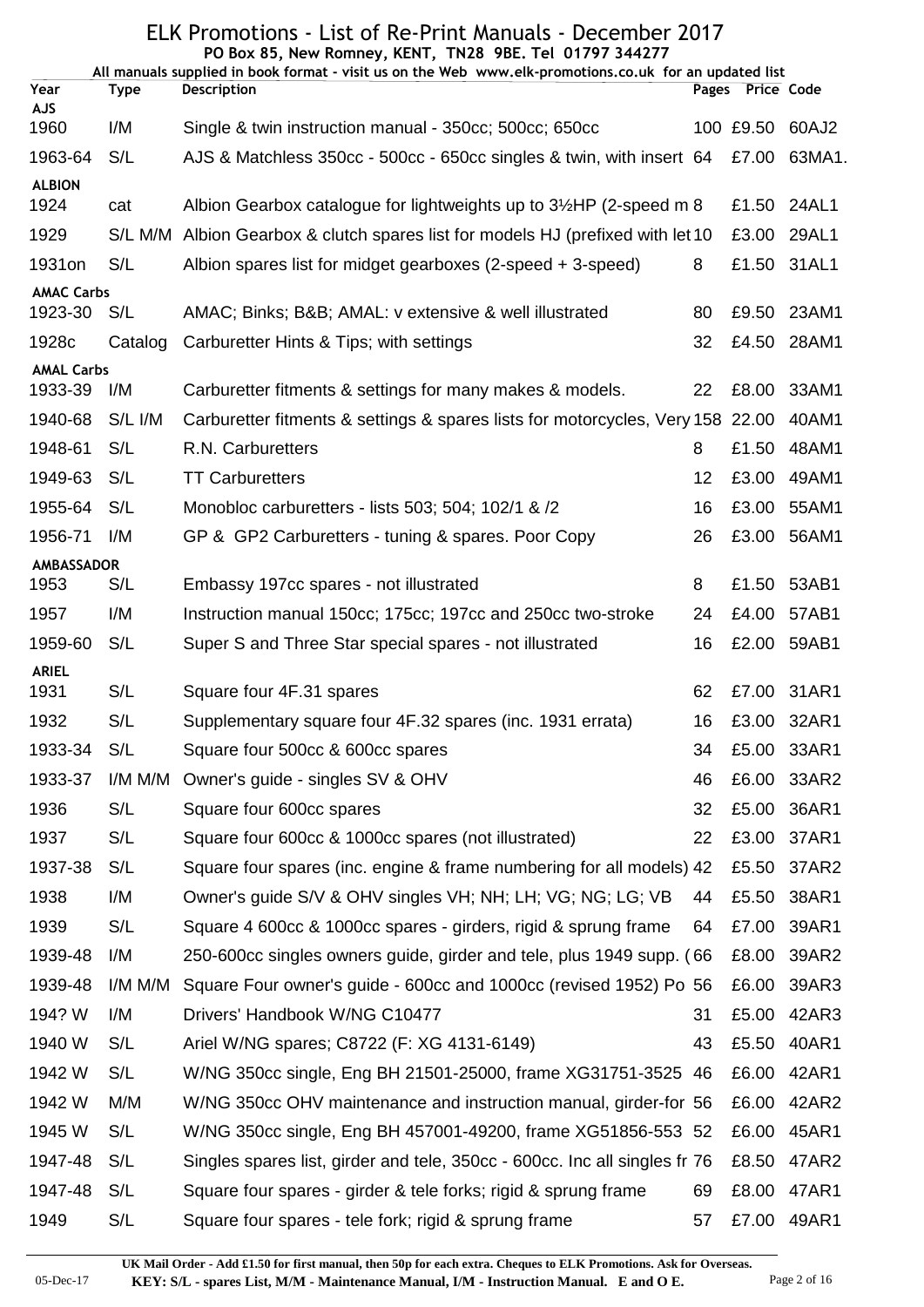| ELK Promotions - List of Re-Print Manuals - December 2017<br>PO Box 85, New Romney, KENT, TN28 9BE. Tel 01797 344277 |             |                                                                                                        |    |                  |             |  |  |
|----------------------------------------------------------------------------------------------------------------------|-------------|--------------------------------------------------------------------------------------------------------|----|------------------|-------------|--|--|
|                                                                                                                      |             | All manuals supplied in book format - visit us on the Web www.elk-promotions.co.uk for an updated list |    |                  |             |  |  |
| Year<br><b>AJS</b>                                                                                                   | <b>Type</b> | Description                                                                                            |    | Pages Price Code |             |  |  |
| 1960                                                                                                                 | I/M         | Single & twin instruction manual - 350cc; 500cc; 650cc                                                 |    | 100 £9.50        | 60AJ2       |  |  |
| 1963-64                                                                                                              | S/L         | AJS & Matchless 350cc - 500cc - 650cc singles & twin, with insert 64                                   |    | £7.00            | 63MA1.      |  |  |
| <b>ALBION</b>                                                                                                        |             |                                                                                                        |    |                  |             |  |  |
| 1924                                                                                                                 | cat         | Albion Gearbox catalogue for lightweights up to 3½HP (2-speed m 8                                      |    | £1.50            | 24AL1       |  |  |
| 1929                                                                                                                 | S/L M/M     | Albion Gearbox & clutch spares list for models HJ (prefixed with let 10                                |    | £3.00            | 29AL1       |  |  |
| 1931on                                                                                                               | S/L         | Albion spares list for midget gearboxes (2-speed + 3-speed)                                            | 8  | £1.50            | 31AL1       |  |  |
| <b>AMAC Carbs</b><br>1923-30                                                                                         | S/L         | AMAC; Binks; B&B AMAL: v extensive & well illustrated                                                  | 80 | £9.50            | 23AM1       |  |  |
| 1928c                                                                                                                | Catalog     | Carburetter Hints & Tips; with settings                                                                | 32 | £4.50            | 28AM1       |  |  |
| <b>AMAL Carbs</b>                                                                                                    |             |                                                                                                        |    |                  |             |  |  |
| 1933-39                                                                                                              | I/M         | Carburetter fitments & settings for many makes & models.                                               | 22 | £8.00            | 33AM1       |  |  |
| 1940-68                                                                                                              | S/L I/M     | Carburetter fitments & settings & spares lists for motorcycles, Very 158 22.00                         |    |                  | 40AM1       |  |  |
| 1948-61                                                                                                              | S/L         | R.N. Carburetters                                                                                      | 8  | £1.50            | 48AM1       |  |  |
| 1949-63                                                                                                              | S/L         | <b>TT Carburetters</b>                                                                                 | 12 | £3.00            | 49AM1       |  |  |
| 1955-64                                                                                                              | S/L         | Monobloc carburetters - lists 503; 504; 102/1 & /2                                                     | 16 | £3.00            | 55AM1       |  |  |
| 1956-71                                                                                                              | I/M         | GP & GP2 Carburetters - tuning & spares. Poor Copy                                                     | 26 | £3.00            | 56AM1       |  |  |
| AMBASSADOR                                                                                                           |             |                                                                                                        |    |                  |             |  |  |
| 1953                                                                                                                 | S/L         | Embassy 197cc spares - not illustrated                                                                 | 8  | £1.50            | 53AB1       |  |  |
| 1957                                                                                                                 | I/M         | Instruction manual 150cc; 175cc; 197cc and 250cc two-stroke                                            | 24 | £4.00            | 57AB1       |  |  |
| 1959-60                                                                                                              | S/L         | Super S and Three Star special spares - not illustrated                                                | 16 |                  | £2.00 59AB1 |  |  |
| <b>ARIEL</b><br>1931                                                                                                 | S/L         | Square four 4F.31 spares                                                                               | 62 |                  | £7.00 31AR1 |  |  |
| 1932                                                                                                                 | S/L         | Supplementary square four 4F.32 spares (inc. 1931 errata)                                              | 16 | £3.00            | 32AR1       |  |  |
| 1933-34                                                                                                              | S/L         | Square four 500cc & 600cc spares                                                                       | 34 | £5.00            | 33AR1       |  |  |
| 1933-37                                                                                                              | I/M M/M     | Owner's guide - singles SV & OHV                                                                       | 46 | £6.00            | 33AR2       |  |  |
| 1936                                                                                                                 | S/L         | Square four 600cc spares                                                                               | 32 | £5.00            | 36AR1       |  |  |
| 1937                                                                                                                 | S/L         | Square four 600cc & 1000cc spares (not illustrated)                                                    | 22 | £3.00            | 37AR1       |  |  |
| 1937-38                                                                                                              | S/L         | Square four spares (inc. engine & frame numbering for all models) 42                                   |    | £5.50            | 37AR2       |  |  |
| 1938                                                                                                                 | I/M         | Owner's guide S/V & OHV singles VH; NH; LH; VG; NG; LG; VB                                             | 44 | £5.50            | 38AR1       |  |  |
| 1939                                                                                                                 | S/L         | Square 4 600cc & 1000cc spares - girders, rigid & sprung frame                                         | 64 | £7.00            | 39AR1       |  |  |
| 1939-48                                                                                                              | I/M         | 250-600cc singles owners guide, girder and tele, plus 1949 supp. (66                                   |    | £8.00            | 39AR2       |  |  |
| 1939-48                                                                                                              | I/M M/M     | Square Four owner's guide - 600cc and 1000cc (revised 1952) Po 56                                      |    | £6.00            | 39AR3       |  |  |
| 194? W                                                                                                               | I/M         | Drivers' Handbook W/NG C10477                                                                          | 31 | £5.00            | 42AR3       |  |  |
| 1940 W                                                                                                               | S/L         | Ariel W/NG spares; C8722 (F: XG 4131-6149)                                                             | 43 | £5.50            | 40AR1       |  |  |
| 1942 W                                                                                                               | S/L         |                                                                                                        |    | £6.00            | 42AR1       |  |  |
|                                                                                                                      |             | W/NG 350cc single, Eng BH 21501-25000, frame XG31751-3525 46                                           |    |                  |             |  |  |
| 1942 W                                                                                                               | M/M         | W/NG 350cc OHV maintenance and instruction manual, girder-for 56                                       |    | £6.00            | 42AR2       |  |  |
| 1945 W                                                                                                               | S/L         | W/NG 350cc single, Eng BH 457001-49200, frame XG51856-553 52                                           |    | £6.00            | 45AR1       |  |  |
| 1947-48                                                                                                              | S/L         | Singles spares list, girder and tele, 350cc - 600cc. Inc all singles fr 76                             |    | £8.50            | 47AR2       |  |  |
| 1947-48                                                                                                              | S/L         | Square four spares - girder & tele forks; rigid & sprung frame                                         | 69 | £8.00            | 47AR1       |  |  |
| 1949                                                                                                                 | S/L         | Square four spares - tele fork; rigid & sprung frame                                                   | 57 |                  | £7.00 49AR1 |  |  |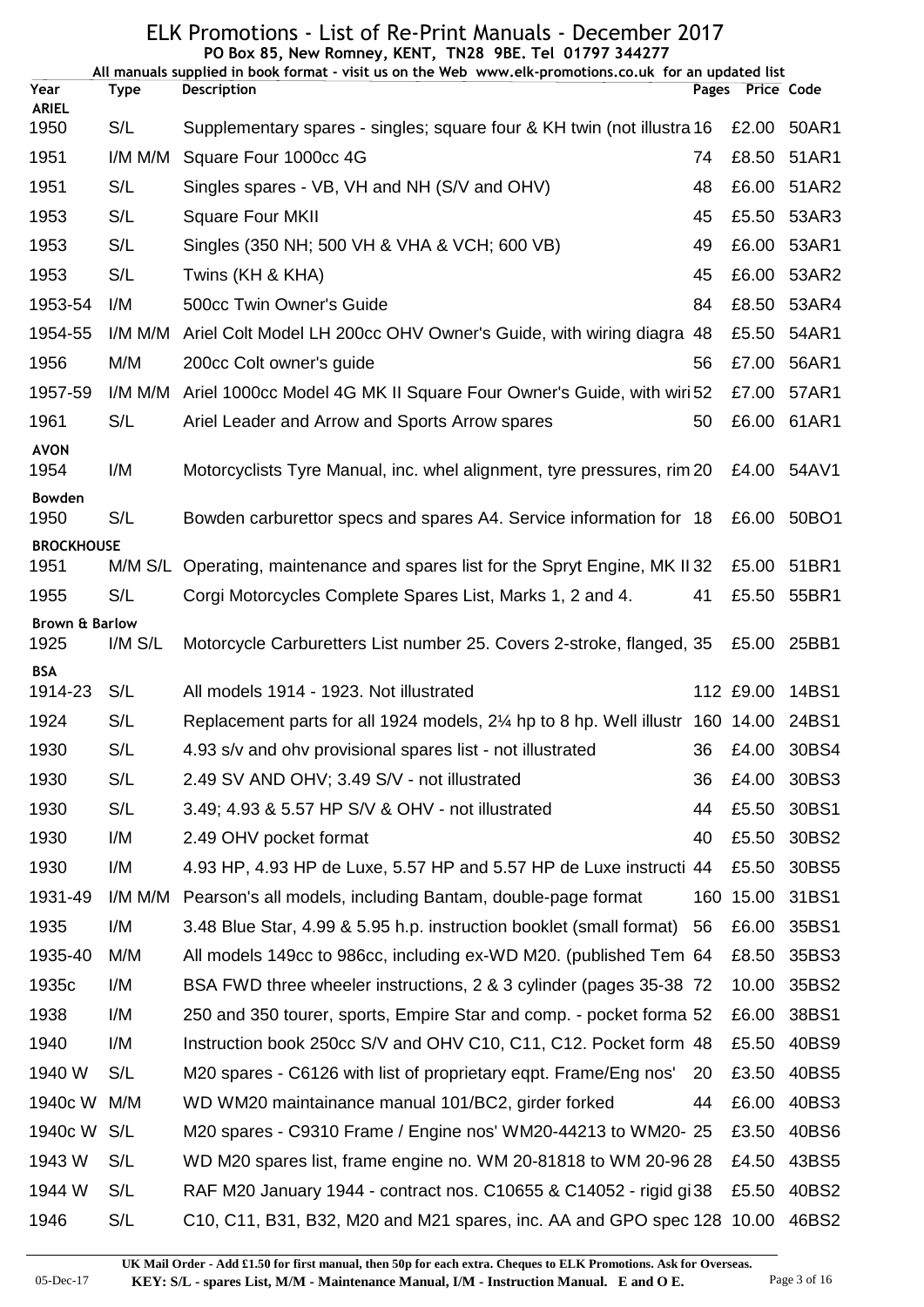|                                   |             | PO Box 85, New Romney, KENT, TN28 9BE. Tel 01797 344277<br>All manuals supplied in book format - visit us on the Web www.elk-promotions.co.uk for an updated list |    |                  |                 |
|-----------------------------------|-------------|-------------------------------------------------------------------------------------------------------------------------------------------------------------------|----|------------------|-----------------|
| Year                              | <b>Type</b> | <b>Description</b>                                                                                                                                                |    | Pages Price Code |                 |
| <b>ARIEL</b><br>1950              | S/L         | Supplementary spares - singles; square four & KH twin (not illustra 16                                                                                            |    | £2.00            | 50AR1           |
| 1951                              | $I/M$ M/M   | Square Four 1000cc 4G                                                                                                                                             | 74 |                  | £8.50 51AR1     |
| 1951                              | S/L         | Singles spares - VB, VH and NH (S/V and OHV)                                                                                                                      | 48 |                  | £6.00 51AR2     |
| 1953                              | S/L         | <b>Square Four MKII</b>                                                                                                                                           | 45 |                  | £5.50 53AR3     |
| 1953                              | S/L         | Singles (350 NH; 500 VH & VHA & VCH; 600 VB)                                                                                                                      | 49 |                  | £6.00 53AR1     |
| 1953                              | S/L         | Twins (KH & KHA)                                                                                                                                                  | 45 | £6.00            | 53AR2           |
| 1953-54                           | I/M         | 500cc Twin Owner's Guide                                                                                                                                          | 84 |                  | £8.50 53AR4     |
| 1954-55                           | I/M M/M     | Ariel Colt Model LH 200cc OHV Owner's Guide, with wiring diagra 48                                                                                                |    | £5.50            | 54AR1           |
| 1956                              | M/M         | 200cc Colt owner's guide                                                                                                                                          | 56 | £7.00            | 56AR1           |
| 1957-59                           | I/M M/M     | Ariel 1000cc Model 4G MK II Square Four Owner's Guide, with wiri 52                                                                                               |    | £7.00            | 57AR1           |
| 1961                              | S/L         | Ariel Leader and Arrow and Sports Arrow spares                                                                                                                    | 50 |                  | £6.00 61AR1     |
| <b>AVON</b><br>1954               | I/M         | Motorcyclists Tyre Manual, inc. whel alignment, tyre pressures, rim 20                                                                                            |    |                  | £4.00 54AV1     |
| <b>Bowden</b><br>1950             | S/L         | Bowden carburettor specs and spares A4. Service information for 18                                                                                                |    |                  | £6.00 50BO1     |
| <b>BROCKHOUSE</b>                 |             |                                                                                                                                                                   |    |                  |                 |
| 1951                              | M/M S/L     | Operating, maintenance and spares list for the Spryt Engine, MK II 32                                                                                             |    |                  | £5.00 51BR1     |
| 1955                              | S/L         | Corgi Motorcycles Complete Spares List, Marks 1, 2 and 4.                                                                                                         | 41 |                  | £5.50 55BR1     |
| <b>Brown &amp; Barlow</b><br>1925 | $I/M$ $S/L$ | Motorcycle Carburetters List number 25. Covers 2-stroke, flanged, 35                                                                                              |    |                  | £5.00 25BB1     |
| <b>BSA</b><br>1914-23             | S/L         | All models 1914 - 1923. Not illustrated                                                                                                                           |    |                  | 112 £9.00 14BS1 |
| 1924                              | S/L         | Replacement parts for all 1924 models, 2¼ hp to 8 hp. Well illustr 160 14.00 24BS1                                                                                |    |                  |                 |
| 1930                              | S/L         | 4.93 s/v and ohv provisional spares list - not illustrated                                                                                                        | 36 | £4.00            | 30BS4           |
| 1930                              | S/L         | 2.49 SV AND OHV; 3.49 S/V - not illustrated                                                                                                                       | 36 | £4.00            | 30BS3           |
| 1930                              | S/L         | 3.49; 4.93 & 5.57 HP S/V & OHV - not illustrated                                                                                                                  | 44 | £5.50            | 30BS1           |
| 1930                              | I/M         | 2.49 OHV pocket format                                                                                                                                            | 40 | £5.50            | 30BS2           |
| 1930                              | I/M         | 4.93 HP, 4.93 HP de Luxe, 5.57 HP and 5.57 HP de Luxe instructi 44                                                                                                |    | £5.50            | 30BS5           |
| 1931-49                           | I/M M/M     | Pearson's all models, including Bantam, double-page format                                                                                                        |    | 160 15.00        | 31BS1           |
| 1935                              | I/M         | 3.48 Blue Star, 4.99 & 5.95 h.p. instruction booklet (small format)                                                                                               | 56 | £6.00            | 35BS1           |
| 1935-40                           | M/M         | All models 149cc to 986cc, including ex-WD M20. (published Tem 64                                                                                                 |    | £8.50            | 35BS3           |
| 1935c                             | I/M         | BSA FWD three wheeler instructions, 2 & 3 cylinder (pages 35-38 72                                                                                                |    | 10.00            | 35BS2           |
| 1938                              | I/M         | 250 and 350 tourer, sports, Empire Star and comp. - pocket forma 52                                                                                               |    | £6.00            | 38BS1           |
| 1940                              | I/M         | Instruction book 250cc S/V and OHV C10, C11, C12. Pocket form 48                                                                                                  |    | £5.50            | 40BS9           |
| 1940 W                            | S/L         | M20 spares - C6126 with list of proprietary eqpt. Frame/Eng nos'                                                                                                  | 20 | £3.50            | 40BS5           |
| 1940c W                           | M/M         | WD WM20 maintainance manual 101/BC2, girder forked                                                                                                                | 44 | £6.00            | 40BS3           |
| 1940c W                           | S/L         | M20 spares - C9310 Frame / Engine nos' WM20-44213 to WM20-25                                                                                                      |    | £3.50            | 40BS6           |
| 1943 W                            | S/L         | WD M20 spares list, frame engine no. WM 20-81818 to WM 20-96 28                                                                                                   |    | £4.50            | 43BS5           |
| 1944 W                            | S/L         | RAF M20 January 1944 - contract nos. C10655 & C14052 - rigid gi38                                                                                                 |    | £5.50            | 40BS2           |
| 1946                              | S/L         | C10, C11, B31, B32, M20 and M21 spares, inc. AA and GPO spec 128 10.00                                                                                            |    |                  | 46BS2           |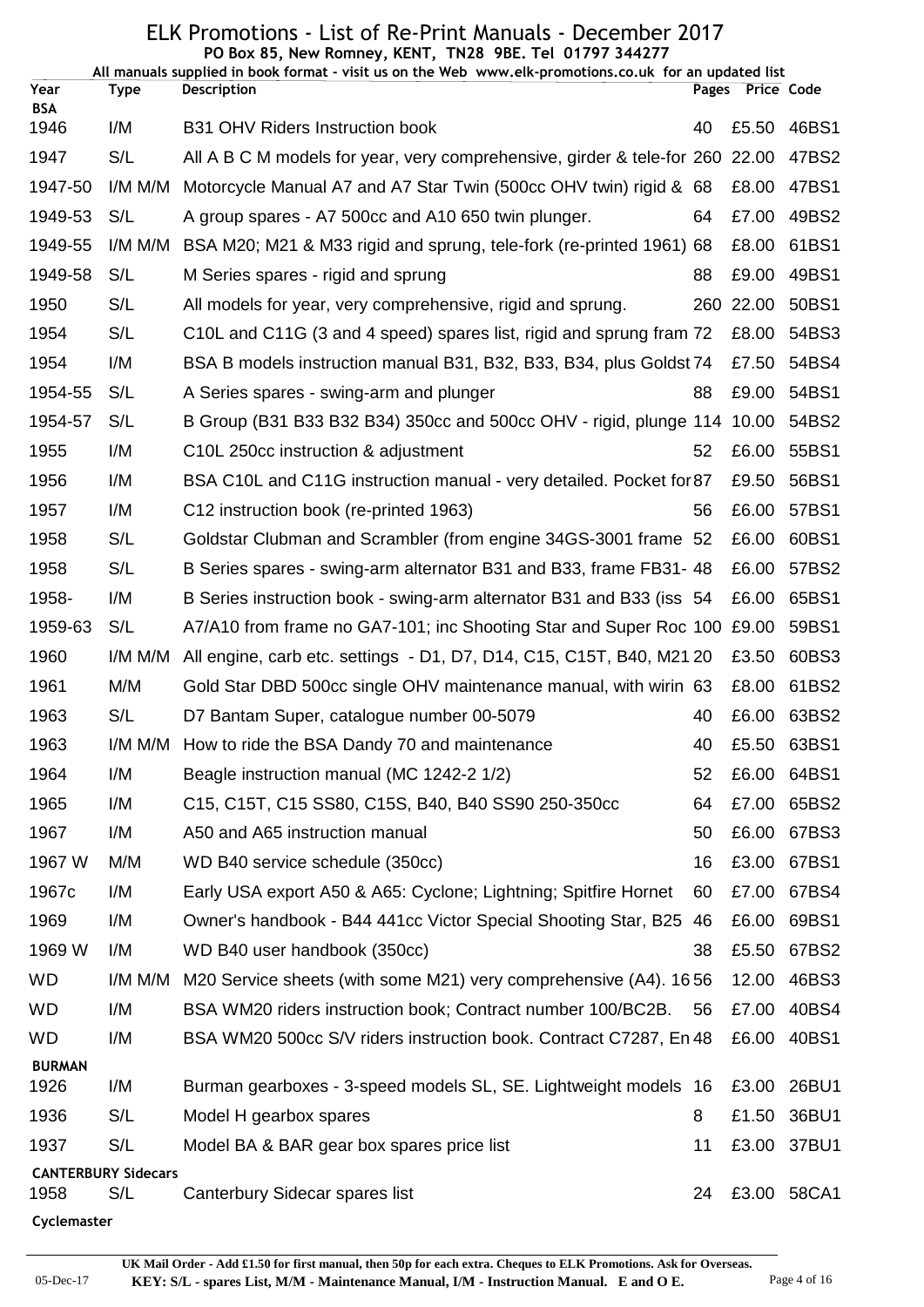|                    |                                   | PO Box 85, New Romney, KENT, TN28 9BE. Tel 01797 344277<br>All manuals supplied in book format - visit us on the Web www.elk-promotions.co.uk for an updated list |    |                  |                |
|--------------------|-----------------------------------|-------------------------------------------------------------------------------------------------------------------------------------------------------------------|----|------------------|----------------|
| Year<br><b>BSA</b> | <b>Type</b>                       | <b>Description</b>                                                                                                                                                |    | Pages Price Code |                |
| 1946               | I/M                               | <b>B31 OHV Riders Instruction book</b>                                                                                                                            | 40 | £5.50            | 46BS1          |
| 1947               | S/L                               | All A B C M models for year, very comprehensive, girder & tele-for 260 22.00                                                                                      |    |                  | 47BS2          |
| 1947-50            | I/M M/M                           | Motorcycle Manual A7 and A7 Star Twin (500cc OHV twin) rigid & 68                                                                                                 |    | £8.00            | 47BS1          |
| 1949-53            | S/L                               | A group spares - A7 500cc and A10 650 twin plunger.                                                                                                               | 64 | £7.00            | 49BS2          |
| 1949-55            | I/M M/M                           | BSA M20; M21 & M33 rigid and sprung, tele-fork (re-printed 1961) 68                                                                                               |    | £8.00            | 61BS1          |
| 1949-58            | S/L                               | M Series spares - rigid and sprung                                                                                                                                | 88 | £9.00            | 49BS1          |
| 1950               | S/L                               | All models for year, very comprehensive, rigid and sprung.                                                                                                        |    | 260 22.00        | 50BS1          |
| 1954               | S/L                               | C10L and C11G (3 and 4 speed) spares list, rigid and sprung fram 72                                                                                               |    | £8.00            | 54BS3          |
| 1954               | I/M                               | BSA B models instruction manual B31, B32, B33, B34, plus Goldst 74                                                                                                |    | £7.50            | 54BS4          |
| 1954-55            | S/L                               | A Series spares - swing-arm and plunger                                                                                                                           | 88 | £9.00            | 54BS1          |
| 1954-57            | S/L                               | B Group (B31 B33 B32 B34) 350cc and 500cc OHV - rigid, plunge 114 10.00                                                                                           |    |                  | 54BS2          |
| 1955               | I/M                               | C10L 250cc instruction & adjustment                                                                                                                               | 52 | £6.00            | 55BS1          |
| 1956               | I/M                               | BSA C10L and C11G instruction manual - very detailed. Pocket for 87                                                                                               |    | £9.50            | 56BS1          |
| 1957               | I/M                               | C12 instruction book (re-printed 1963)                                                                                                                            | 56 | £6.00            | 57BS1          |
| 1958               | S/L                               | Goldstar Clubman and Scrambler (from engine 34GS-3001 frame 52                                                                                                    |    | £6.00            | 60BS1          |
| 1958               | S/L                               | B Series spares - swing-arm alternator B31 and B33, frame FB31-48                                                                                                 |    | £6.00            | 57BS2          |
| 1958-              | I/M                               | B Series instruction book - swing-arm alternator B31 and B33 (iss 54                                                                                              |    | £6.00            | 65BS1          |
| 1959-63            | S/L                               | A7/A10 from frame no GA7-101; inc Shooting Star and Super Roc 100                                                                                                 |    | £9.00            | 59BS1          |
| 1960               | I/M M/M                           | All engine, carb etc. settings - D1, D7, D14, C15, C15T, B40, M21 20                                                                                              |    | £3.50            | 60BS3          |
| 1961               | M/M                               | Gold Star DBD 500cc single OHV maintenance manual, with wirin 63                                                                                                  |    | £8.00            | 61BS2          |
| 1963               | S/L                               | D7 Bantam Super, catalogue number 00-5079                                                                                                                         | 40 | £6.00            | 63BS2          |
| 1963               |                                   | I/M M/M How to ride the BSA Dandy 70 and maintenance                                                                                                              |    |                  | 40 £5.50 63BS1 |
| 1964               | I/M                               | Beagle instruction manual (MC 1242-2 1/2)                                                                                                                         | 52 |                  | £6.00 64BS1    |
| 1965               | I/M                               | C15, C15T, C15 SS80, C15S, B40, B40 SS90 250-350cc                                                                                                                | 64 | £7.00            | 65BS2          |
| 1967               | I/M                               | A50 and A65 instruction manual                                                                                                                                    | 50 | £6.00            | 67BS3          |
| 1967 W             | M/M                               | WD B40 service schedule (350cc)                                                                                                                                   | 16 | £3.00            | 67BS1          |
| 1967c              | I/M                               | Early USA export A50 & A65: Cyclone; Lightning; Spitfire Hornet                                                                                                   | 60 | £7.00            | 67BS4          |
| 1969               | I/M                               | Owner's handbook - B44 441cc Victor Special Shooting Star, B25                                                                                                    | 46 | £6.00            | 69BS1          |
| 1969 W             | I/M                               | WD B40 user handbook (350cc)                                                                                                                                      | 38 | £5.50            | 67BS2          |
| <b>WD</b>          | I/M M/M                           | M20 Service sheets (with some M21) very comprehensive (A4). 1656                                                                                                  |    | 12.00            | 46BS3          |
| <b>WD</b>          | I/M                               | BSA WM20 riders instruction book; Contract number 100/BC2B.                                                                                                       | 56 | £7.00            | 40BS4          |
| <b>WD</b>          | I/M                               | BSA WM20 500cc S/V riders instruction book. Contract C7287, En 48                                                                                                 |    | £6.00            | 40BS1          |
| <b>BURMAN</b>      |                                   |                                                                                                                                                                   |    |                  |                |
| 1926               | I/M                               | Burman gearboxes - 3-speed models SL, SE. Lightweight models 16                                                                                                   |    | £3.00            | 26BU1          |
| 1936               | S/L                               | Model H gearbox spares                                                                                                                                            | 8  | £1.50            | 36BU1          |
| 1937               | S/L                               | Model BA & BAR gear box spares price list                                                                                                                         | 11 | £3.00            | 37BU1          |
| 1958               | <b>CANTERBURY Sidecars</b><br>S/L | Canterbury Sidecar spares list                                                                                                                                    | 24 |                  | £3.00 58CA1    |

**Cyclemaster**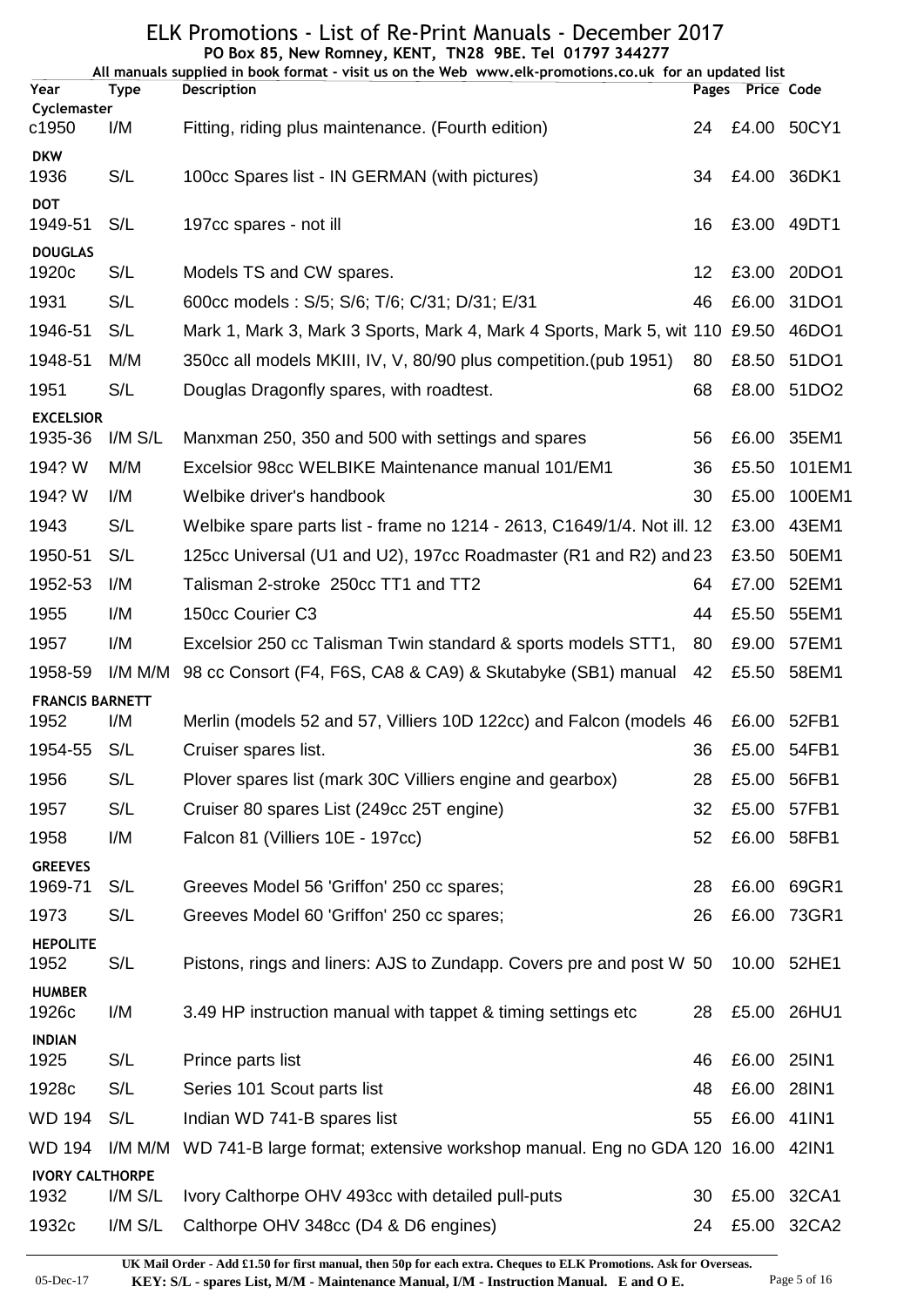|                                |             | PO Box 85, New Romney, KENT, TN28 9BE. Tel 01797 344277<br>All manuals supplied in book format - visit us on the Web www.elk-promotions.co.uk for an updated list |    |                  |             |
|--------------------------------|-------------|-------------------------------------------------------------------------------------------------------------------------------------------------------------------|----|------------------|-------------|
| Year                           | <b>Type</b> | <b>Description</b>                                                                                                                                                |    | Pages Price Code |             |
| Cyclemaster<br>c1950           | I/M         | Fitting, riding plus maintenance. (Fourth edition)                                                                                                                | 24 |                  | £4.00 50CY1 |
| <b>DKW</b><br>1936             | S/L         | 100cc Spares list - IN GERMAN (with pictures)                                                                                                                     | 34 |                  | £4.00 36DK1 |
| <b>DOT</b><br>1949-51          | S/L         | 197cc spares - not ill                                                                                                                                            | 16 |                  | £3.00 49DT1 |
| <b>DOUGLAS</b><br>1920c        | S/L         | Models TS and CW spares.                                                                                                                                          | 12 |                  | £3.00 20DO1 |
| 1931                           | S/L         | 600cc models: S/5; S/6; T/6; C/31; D/31; E/31                                                                                                                     | 46 | £6.00            | 31DO1       |
| 1946-51                        | S/L         | Mark 1, Mark 3, Mark 3 Sports, Mark 4, Mark 4 Sports, Mark 5, wit 110 £9.50                                                                                       |    |                  | 46DO1       |
| 1948-51                        | M/M         | 350cc all models MKIII, IV, V, 80/90 plus competition. (pub 1951)                                                                                                 | 80 | £8.50            | 51DO1       |
| 1951                           | S/L         | Douglas Dragonfly spares, with roadtest.                                                                                                                          | 68 | £8.00            | 51DO2       |
| <b>EXCELSIOR</b><br>1935-36    | $I/M$ $S/L$ | Manxman 250, 350 and 500 with settings and spares                                                                                                                 | 56 | £6.00            | 35EM1       |
| 194? W                         | M/M         | Excelsior 98cc WELBIKE Maintenance manual 101/EM1                                                                                                                 | 36 | £5.50            | 101EM1      |
| 194? W                         | I/M         | Welbike driver's handbook                                                                                                                                         | 30 | £5.00            | 100EM1      |
| 1943                           | S/L         | Welbike spare parts list - frame no 1214 - 2613, C1649/1/4. Not ill. 12                                                                                           |    | £3.00            | 43EM1       |
| 1950-51                        | S/L         | 125cc Universal (U1 and U2), 197cc Roadmaster (R1 and R2) and 23                                                                                                  |    | £3.50            | 50EM1       |
| 1952-53                        | I/M         | Talisman 2-stroke 250cc TT1 and TT2                                                                                                                               | 64 | £7.00            | 52EM1       |
| 1955                           | I/M         | 150cc Courier C3                                                                                                                                                  | 44 | £5.50            | 55EM1       |
| 1957                           | I/M         | Excelsior 250 cc Talisman Twin standard & sports models STT1, 80                                                                                                  |    | £9.00            | 57EM1       |
| 1958-59                        | I/M M/M     | 98 cc Consort (F4, F6S, CA8 & CA9) & Skutabyke (SB1) manual                                                                                                       | 42 | £5.50            | 58EM1       |
| <b>FRANCIS BARNETT</b><br>1952 | I/M         | Merlin (models 52 and 57, Villiers 10D 122cc) and Falcon (models 46                                                                                               |    | £6.00            | 52FB1       |
| 1954-55                        | S/L         | Cruiser spares list.                                                                                                                                              | 36 |                  | £5.00 54FB1 |
| 1956                           | S/L         | Plover spares list (mark 30C Villiers engine and gearbox)                                                                                                         | 28 |                  | £5.00 56FB1 |
| 1957                           | S/L         | Cruiser 80 spares List (249cc 25T engine)                                                                                                                         | 32 | £5.00            | 57FB1       |
| 1958                           | I/M         | Falcon 81 (Villiers 10E - 197cc)                                                                                                                                  | 52 |                  | £6.00 58FB1 |
| <b>GREEVES</b><br>1969-71      | S/L         | Greeves Model 56 'Griffon' 250 cc spares;                                                                                                                         | 28 |                  | £6.00 69GR1 |
| 1973                           | S/L         | Greeves Model 60 'Griffon' 250 cc spares;                                                                                                                         | 26 | £6.00            | 73GR1       |
| <b>HEPOLITE</b><br>1952        | S/L         | Pistons, rings and liners: AJS to Zundapp. Covers pre and post W 50                                                                                               |    |                  | 10.00 52HE1 |
| <b>HUMBER</b><br>1926c         | I/M         | 3.49 HP instruction manual with tappet & timing settings etc                                                                                                      | 28 |                  | £5.00 26HU1 |
| <b>INDIAN</b>                  |             |                                                                                                                                                                   |    |                  |             |
| 1925                           | S/L         | Prince parts list                                                                                                                                                 | 46 | £6.00            | 25IN1       |
| 1928c                          | S/L         | Series 101 Scout parts list                                                                                                                                       | 48 | £6.00            | 28IN1       |
| <b>WD 194</b>                  | S/L         | Indian WD 741-B spares list                                                                                                                                       | 55 | £6.00            | 41IN1       |
| <b>WD 194</b>                  | I/M M/M     | WD 741-B large format; extensive workshop manual. Eng no GDA 120 16.00 42IN1                                                                                      |    |                  |             |
| <b>IVORY CALTHORPE</b><br>1932 | $I/M$ $S/L$ | Ivory Calthorpe OHV 493cc with detailed pull-puts                                                                                                                 | 30 | £5.00            | 32CA1       |
| 1932c                          | $I/M$ $S/L$ | Calthorpe OHV 348cc (D4 & D6 engines)                                                                                                                             | 24 |                  | £5.00 32CA2 |

05-Dec-17 **KEY: S/L - spares List, M/M - Maintenance Manual, I/M - Instruction Manual. E and O E.** Page 5 of 16 **UK Mail Order - Add £1.50 for first manual, then 50p for each extra. Cheques to ELK Promotions. Ask for Overseas.**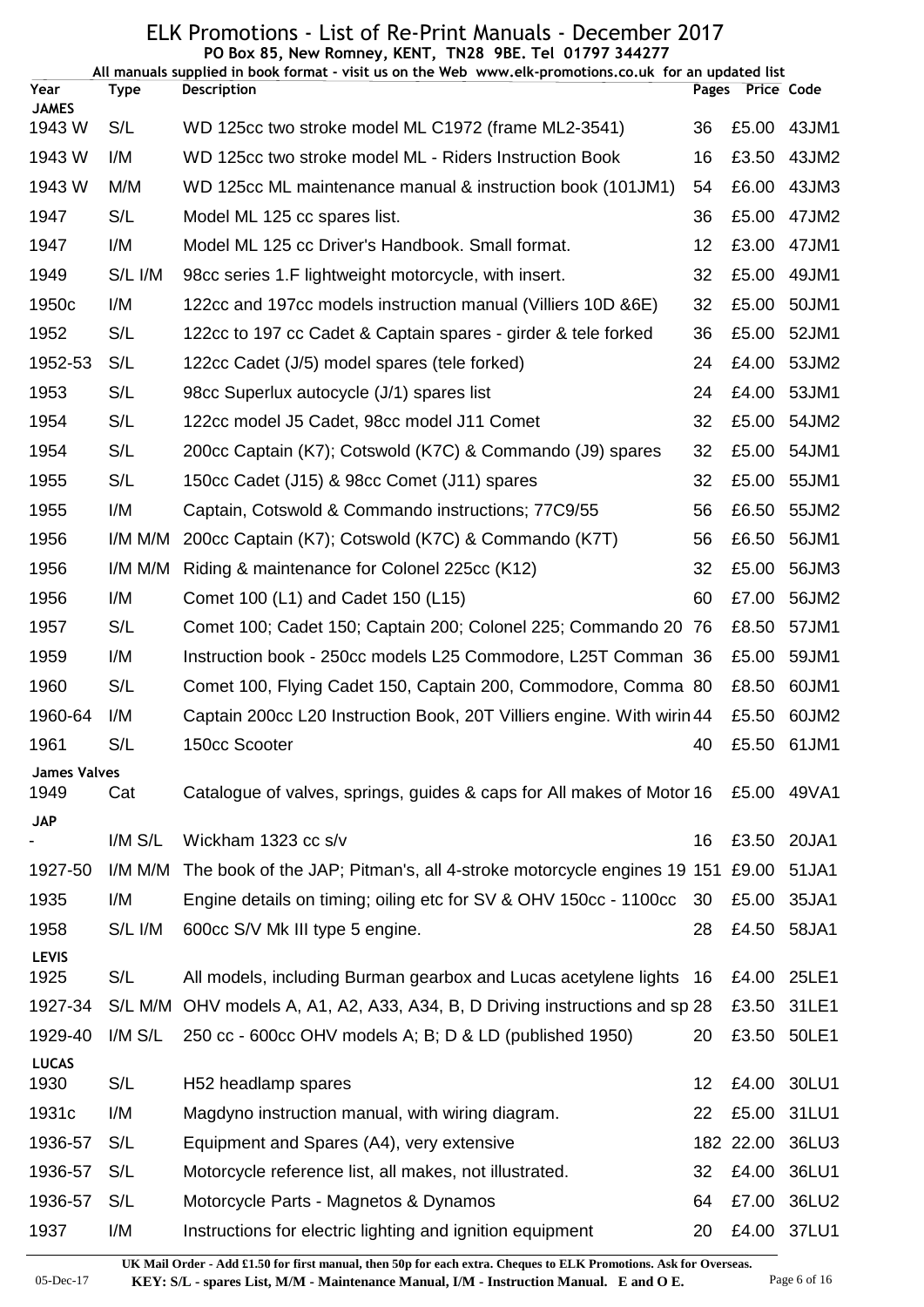|                      |             | PO Box 85, New Romney, KENT, TN28 9BE. Tel 01797 344277<br>All manuals supplied in book format - visit us on the Web www.elk-promotions.co.uk for an updated list |    |                  |                |
|----------------------|-------------|-------------------------------------------------------------------------------------------------------------------------------------------------------------------|----|------------------|----------------|
| Year<br><b>JAMES</b> | Type        | <b>Description</b>                                                                                                                                                |    | Pages Price Code |                |
| 1943 W               | S/L         | WD 125cc two stroke model ML C1972 (frame ML2-3541)                                                                                                               | 36 | £5.00            | 43JM1          |
| 1943 W               | I/M         | WD 125cc two stroke model ML - Riders Instruction Book                                                                                                            | 16 | £3.50            | 43JM2          |
| 1943 W               | M/M         | WD 125cc ML maintenance manual & instruction book (101JM1)                                                                                                        | 54 | £6.00            | 43JM3          |
| 1947                 | S/L         | Model ML 125 cc spares list.                                                                                                                                      | 36 | £5.00            | 47JM2          |
| 1947                 | I/M         | Model ML 125 cc Driver's Handbook. Small format.                                                                                                                  | 12 | £3.00            | 47JM1          |
| 1949                 | S/L I/M     | 98cc series 1.F lightweight motorcycle, with insert.                                                                                                              | 32 | £5.00            | 49JM1          |
| 1950c                | I/M         | 122cc and 197cc models instruction manual (Villiers 10D & 6E)                                                                                                     | 32 | £5.00            | 50JM1          |
| 1952                 | S/L         | 122cc to 197 cc Cadet & Captain spares - girder & tele forked                                                                                                     | 36 | £5.00            | 52JM1          |
| 1952-53              | S/L         | 122cc Cadet (J/5) model spares (tele forked)                                                                                                                      | 24 | £4.00            | 53JM2          |
| 1953                 | S/L         | 98cc Superlux autocycle (J/1) spares list                                                                                                                         | 24 | £4.00            | 53JM1          |
| 1954                 | S/L         | 122cc model J5 Cadet, 98cc model J11 Comet                                                                                                                        | 32 | £5.00            | 54JM2          |
| 1954                 | S/L         | 200cc Captain (K7); Cotswold (K7C) & Commando (J9) spares                                                                                                         | 32 | £5.00            | 54JM1          |
| 1955                 | S/L         | 150cc Cadet (J15) & 98cc Comet (J11) spares                                                                                                                       | 32 | £5.00            | 55JM1          |
| 1955                 | I/M         | Captain, Cotswold & Commando instructions; 77C9/55                                                                                                                | 56 | £6.50            | 55JM2          |
| 1956                 | I/M M/M     | 200cc Captain (K7); Cotswold (K7C) & Commando (K7T)                                                                                                               | 56 | £6.50            | 56JM1          |
| 1956                 | I/M M/M     | Riding & maintenance for Colonel 225cc (K12)                                                                                                                      | 32 | £5.00            | 56JM3          |
| 1956                 | I/M         | Comet 100 (L1) and Cadet 150 (L15)                                                                                                                                | 60 | £7.00            | 56JM2          |
| 1957                 | S/L         | Comet 100; Cadet 150; Captain 200; Colonel 225; Commando 20 76                                                                                                    |    | £8.50            | 57JM1          |
| 1959                 | I/M         | Instruction book - 250cc models L25 Commodore, L25T Comman 36                                                                                                     |    | £5.00            | 59JM1          |
| 1960                 | S/L         | Comet 100, Flying Cadet 150, Captain 200, Commodore, Comma 80                                                                                                     |    | £8.50            | 60JM1          |
| 1960-64              | I/M         | Captain 200cc L20 Instruction Book, 20T Villiers engine. With wirin 44                                                                                            |    | £5.50            | 60JM2          |
| 1961                 | S/L         | 150cc Scooter                                                                                                                                                     |    |                  | 40 £5.50 61JM1 |
| <b>James Valves</b>  |             |                                                                                                                                                                   |    |                  |                |
| 1949                 | Cat         | Catalogue of valves, springs, guides & caps for All makes of Motor 16                                                                                             |    |                  | £5.00 49VA1    |
| <b>JAP</b>           | $I/M$ $S/L$ | Wickham 1323 cc s/v                                                                                                                                               | 16 | £3.50            | 20JA1          |
| 1927-50              | I/M M/M     | The book of the JAP; Pitman's, all 4-stroke motorcycle engines 19 151 £9.00                                                                                       |    |                  | 51JA1          |
| 1935                 | I/M         | Engine details on timing; oiling etc for SV & OHV 150cc - 1100cc                                                                                                  | 30 | £5.00            | 35JA1          |
| 1958                 | S/L I/M     | 600cc S/V Mk III type 5 engine.                                                                                                                                   | 28 |                  | £4.50 58JA1    |
| <b>LEVIS</b>         |             |                                                                                                                                                                   |    |                  |                |
| 1925                 | S/L         | All models, including Burman gearbox and Lucas acetylene lights 16                                                                                                |    | £4.00            | 25LE1          |
| 1927-34              | S/L M/M     | OHV models A, A1, A2, A33, A34, B, D Driving instructions and sp 28                                                                                               |    | £3.50            | 31LE1          |
| 1929-40              | $I/M$ $S/L$ | 250 cc - 600 cc OHV models A; B; D & LD (published 1950)                                                                                                          | 20 |                  | £3.50 50LE1    |
| <b>LUCAS</b><br>1930 | S/L         | H52 headlamp spares                                                                                                                                               | 12 | £4.00            | 30LU1          |
| 1931c                | I/M         | Magdyno instruction manual, with wiring diagram.                                                                                                                  | 22 | £5.00            | 31LU1          |
| 1936-57              | S/L         | Equipment and Spares (A4), very extensive                                                                                                                         |    | 182 22.00        | 36LU3          |
| 1936-57              | S/L         | Motorcycle reference list, all makes, not illustrated.                                                                                                            | 32 | £4.00            | 36LU1          |
| 1936-57              | S/L         | Motorcycle Parts - Magnetos & Dynamos                                                                                                                             | 64 | £7.00            | 36LU2          |
| 1937                 | I/M         | Instructions for electric lighting and ignition equipment                                                                                                         | 20 | £4.00            | 37LU1          |
|                      |             |                                                                                                                                                                   |    |                  |                |

**UK Mail Order - Add £1.50 for first manual, then 50p for each extra. Cheques to ELK Promotions. Ask for Overseas.**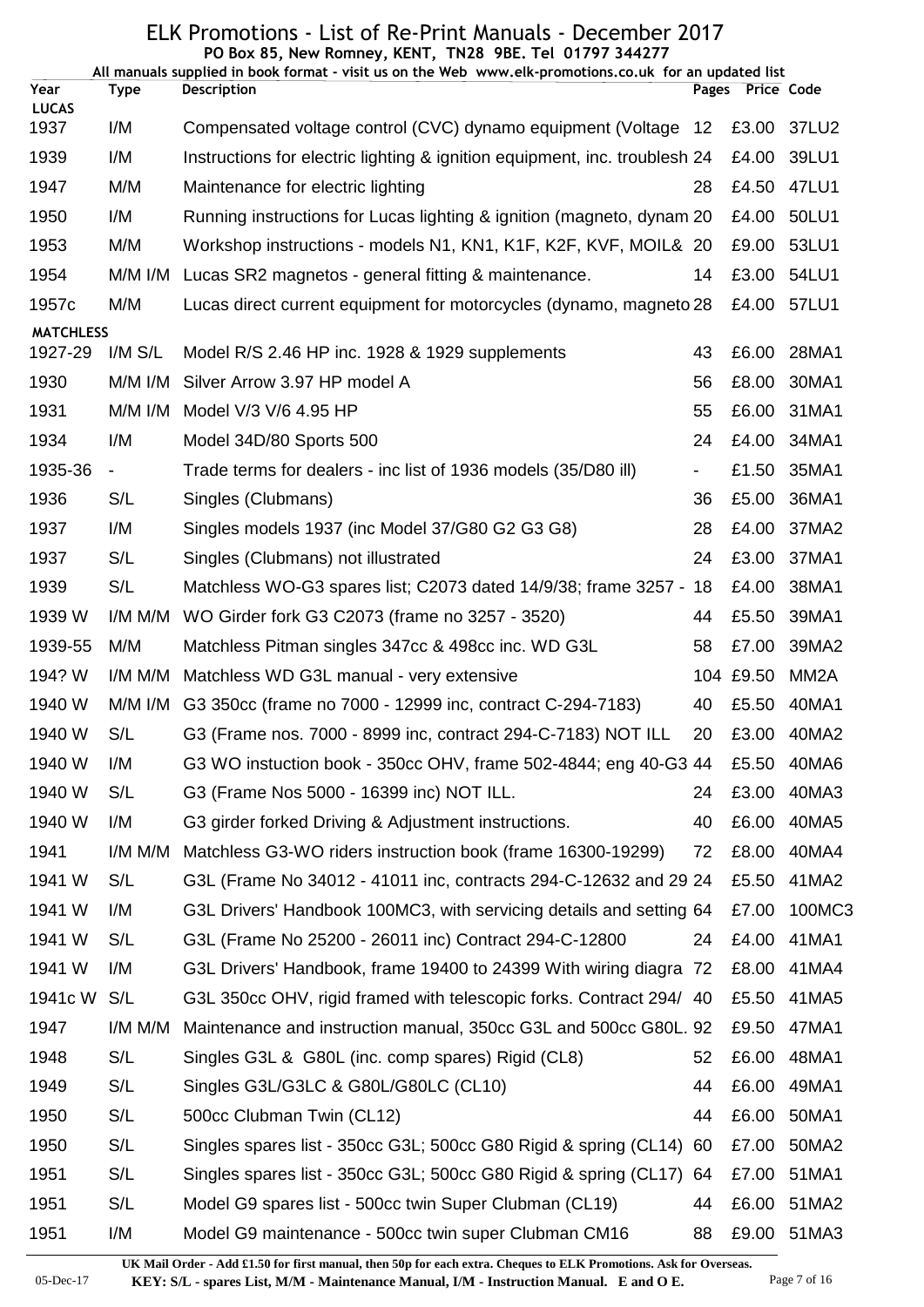|                      |             | PO Box 85, New Romney, KENT, TN28 9BE. Tel 01797 344277<br>All manuals supplied in book format - visit us on the Web www.elk-promotions.co.uk for an updated list |    |                  |                   |
|----------------------|-------------|-------------------------------------------------------------------------------------------------------------------------------------------------------------------|----|------------------|-------------------|
| Year                 | <b>Type</b> | Description                                                                                                                                                       |    | Pages Price Code |                   |
| <b>LUCAS</b><br>1937 | I/M         | Compensated voltage control (CVC) dynamo equipment (Voltage 12                                                                                                    |    | £3.00            | 37LU2             |
| 1939                 | I/M         | Instructions for electric lighting & ignition equipment, inc. troublesh 24                                                                                        |    | £4.00            | 39LU1             |
| 1947                 | M/M         | Maintenance for electric lighting                                                                                                                                 | 28 | £4.50            | 47LU1             |
| 1950                 | I/M         | Running instructions for Lucas lighting & ignition (magneto, dynam 20                                                                                             |    | £4.00            | 50LU1             |
| 1953                 | M/M         | Workshop instructions - models N1, KN1, K1F, K2F, KVF, MOIL& 20                                                                                                   |    | £9.00            | 53LU1             |
| 1954                 | $M/M$ I/M   | Lucas SR2 magnetos - general fitting & maintenance.                                                                                                               | 14 | £3.00            | 54LU1             |
| 1957c                | M/M         | Lucas direct current equipment for motorcycles (dynamo, magneto 28                                                                                                |    | £4.00            | 57LU1             |
| <b>MATCHLESS</b>     |             |                                                                                                                                                                   |    |                  |                   |
| 1927-29              | $I/M$ $S/L$ | Model R/S 2.46 HP inc. 1928 & 1929 supplements                                                                                                                    | 43 | £6.00            | 28MA1             |
| 1930                 | M/M I/M     | Silver Arrow 3.97 HP model A                                                                                                                                      | 56 | £8.00            | 30MA1             |
| 1931                 | M/M I/M     | Model V/3 V/6 4.95 HP                                                                                                                                             | 55 | £6.00            | 31MA1             |
| 1934                 | I/M         | Model 34D/80 Sports 500                                                                                                                                           | 24 | £4.00            | 34MA1             |
| 1935-36              | -           | Trade terms for dealers - inc list of 1936 models (35/D80 ill)                                                                                                    |    | £1.50            | 35MA1             |
| 1936                 | S/L         | Singles (Clubmans)                                                                                                                                                | 36 | £5.00            | 36MA1             |
| 1937                 | I/M         | Singles models 1937 (inc Model 37/G80 G2 G3 G8)                                                                                                                   | 28 | £4.00            | 37MA2             |
| 1937                 | S/L         | Singles (Clubmans) not illustrated                                                                                                                                | 24 | £3.00            | 37MA1             |
| 1939                 | S/L         | Matchless WO-G3 spares list; C2073 dated 14/9/38; frame 3257 - 18                                                                                                 |    | £4.00            | 38MA1             |
| 1939 W               | I/M M/M     | WO Girder fork G3 C2073 (frame no 3257 - 3520)                                                                                                                    | 44 | £5.50            | 39MA1             |
| 1939-55              | M/M         | Matchless Pitman singles 347cc & 498cc inc. WD G3L                                                                                                                | 58 | £7.00            | 39MA2             |
| 194? W               | I/M M/M     | Matchless WD G3L manual - very extensive                                                                                                                          |    | 104 £9.50        | MM <sub>2</sub> A |
| 1940 W               | M/M I/M     | G3 350cc (frame no 7000 - 12999 inc, contract C-294-7183)                                                                                                         | 40 | £5.50            | 40MA1             |
| 1940 W               | S/L         | G3 (Frame nos. 7000 - 8999 inc, contract 294-C-7183) NOT ILL                                                                                                      | 20 | £3.00            | 40MA2             |
| 1940 W               | I/M         | G3 WO instuction book - 350cc OHV, frame 502-4844; eng 40-G3 44                                                                                                   |    | £5.50            | 40MA6             |
| 1940 W               | S/L         | G3 (Frame Nos 5000 - 16399 inc) NOT ILL.                                                                                                                          | 24 | £3.00            | 40MA3             |
| 1940 W               | I/M         | G3 girder forked Driving & Adjustment instructions.                                                                                                               | 40 | £6.00            | 40MA5             |
| 1941                 | I/M M/M     | Matchless G3-WO riders instruction book (frame 16300-19299)                                                                                                       | 72 | £8.00            | 40MA4             |
| 1941 W               | S/L         | G3L (Frame No 34012 - 41011 inc, contracts 294-C-12632 and 29 24                                                                                                  |    | £5.50            | 41MA2             |
| 1941 W               | I/M         | G3L Drivers' Handbook 100MC3, with servicing details and setting 64                                                                                               |    | £7.00            | 100MC3            |
| 1941 W               | S/L         | G3L (Frame No 25200 - 26011 inc) Contract 294-C-12800                                                                                                             | 24 | £4.00            | 41MA1             |
| 1941 W               | I/M         | G3L Drivers' Handbook, frame 19400 to 24399 With wiring diagra 72                                                                                                 |    | £8.00            | 41MA4             |
| 1941c W              | S/L         | G3L 350cc OHV, rigid framed with telescopic forks. Contract 294/ 40                                                                                               |    | £5.50            | 41MA5             |
| 1947                 | I/M M/M     | Maintenance and instruction manual, 350cc G3L and 500cc G80L. 92                                                                                                  |    | £9.50            | 47MA1             |
| 1948                 | S/L         | Singles G3L & G80L (inc. comp spares) Rigid (CL8)                                                                                                                 | 52 | £6.00            | 48MA1             |
| 1949                 | S/L         | Singles G3L/G3LC & G80L/G80LC (CL10)                                                                                                                              | 44 | £6.00            | 49MA1             |
| 1950                 | S/L         | 500cc Clubman Twin (CL12)                                                                                                                                         | 44 | £6.00            | 50MA1             |
| 1950                 | S/L         | Singles spares list - 350cc G3L; 500cc G80 Rigid & spring (CL14) 60                                                                                               |    | £7.00            | 50MA2             |
| 1951                 | S/L         | Singles spares list - 350cc G3L; 500cc G80 Rigid & spring (CL17) 64                                                                                               |    | £7.00            | 51MA1             |
| 1951                 | S/L         | Model G9 spares list - 500cc twin Super Clubman (CL19)                                                                                                            | 44 | £6.00            | 51MA2             |
| 1951                 | I/M         | Model G9 maintenance - 500cc twin super Clubman CM16                                                                                                              | 88 | £9.00            | 51MA3             |

**UK Mail Order - Add £1.50 for first manual, then 50p for each extra. Cheques to ELK Promotions. Ask for Overseas.**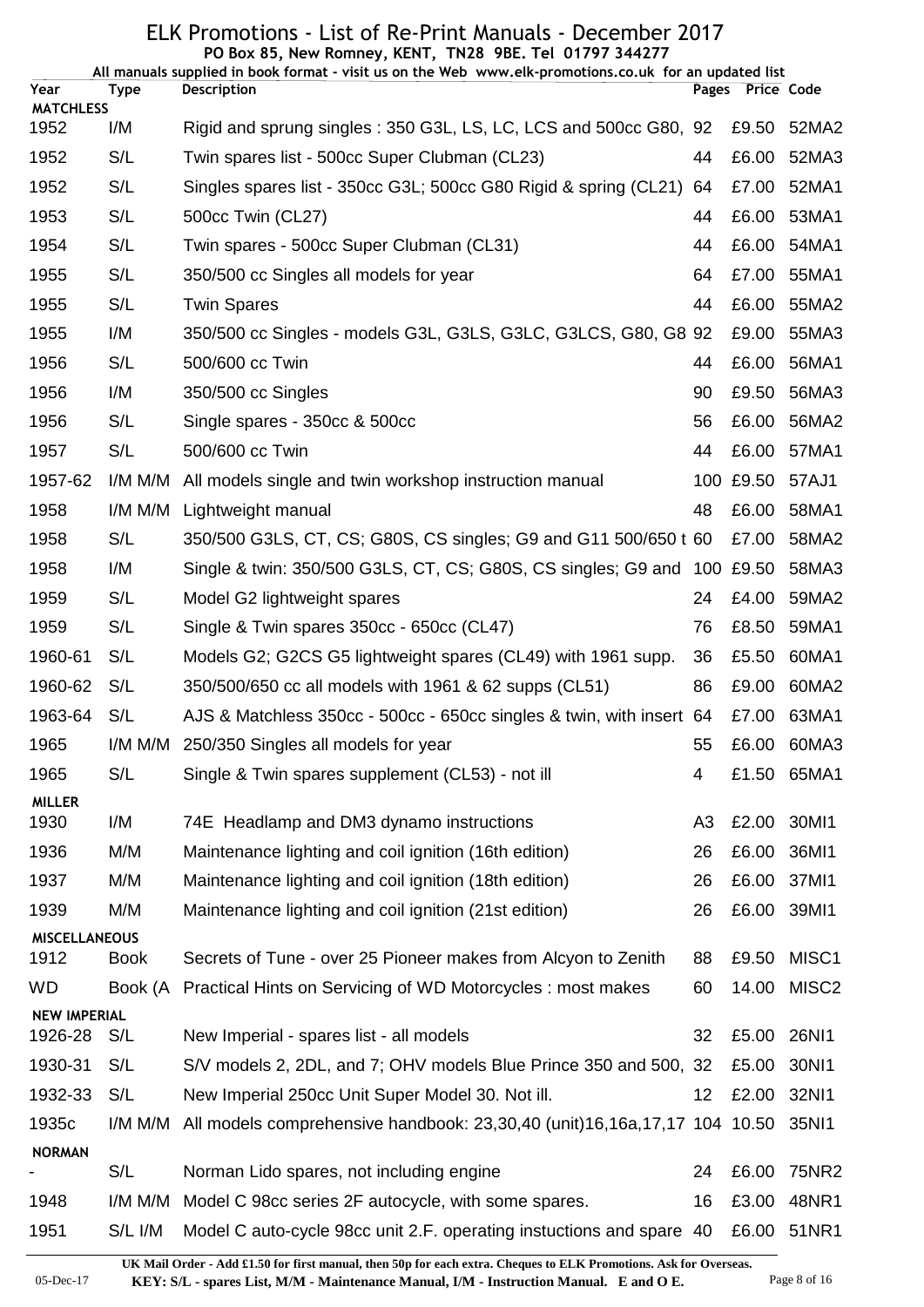|                                |             | PO Box 85, New Romney, KENT, TN28 9BE. Tel 01797 344277<br>All manuals supplied in book format - visit us on the Web www.elk-promotions.co.uk for an updated list |                 |                  |                   |
|--------------------------------|-------------|-------------------------------------------------------------------------------------------------------------------------------------------------------------------|-----------------|------------------|-------------------|
| Year                           | Type        | <b>Description</b>                                                                                                                                                |                 | Pages Price Code |                   |
| <b>MATCHLESS</b><br>1952       | I/M         | Rigid and sprung singles: 350 G3L, LS, LC, LCS and 500cc G80, 92                                                                                                  |                 | £9.50            | 52MA2             |
| 1952                           | S/L         | Twin spares list - 500cc Super Clubman (CL23)                                                                                                                     | 44              | £6.00            | 52MA3             |
| 1952                           | S/L         | Singles spares list - 350cc G3L; 500cc G80 Rigid & spring (CL21) 64                                                                                               |                 | £7.00            | 52MA1             |
| 1953                           | S/L         | 500cc Twin (CL27)                                                                                                                                                 | 44              | £6.00            | 53MA1             |
| 1954                           | S/L         | Twin spares - 500cc Super Clubman (CL31)                                                                                                                          | 44              | £6.00            | 54MA1             |
| 1955                           | S/L         | 350/500 cc Singles all models for year                                                                                                                            | 64              | £7.00            | 55MA1             |
| 1955                           | S/L         | <b>Twin Spares</b>                                                                                                                                                | 44              | £6.00            | 55MA2             |
| 1955                           | I/M         | 350/500 cc Singles - models G3L, G3LS, G3LC, G3LCS, G80, G8 92                                                                                                    |                 | £9.00            | 55MA3             |
| 1956                           | S/L         | 500/600 cc Twin                                                                                                                                                   | 44              | £6.00            | 56MA1             |
| 1956                           | I/M         | 350/500 cc Singles                                                                                                                                                | 90              | £9.50            | 56MA3             |
| 1956                           | S/L         | Single spares - 350cc & 500cc                                                                                                                                     | 56              | £6.00            | 56MA2             |
| 1957                           | S/L         | 500/600 cc Twin                                                                                                                                                   | 44              | £6.00            | 57MA1             |
| 1957-62                        | I/M M/M     | All models single and twin workshop instruction manual                                                                                                            |                 | 100 £9.50        | 57AJ1             |
| 1958                           | I/M M/M     | Lightweight manual                                                                                                                                                | 48              | £6.00            | 58MA1             |
| 1958                           | S/L         | 350/500 G3LS, CT, CS; G80S, CS singles; G9 and G11 500/650 t 60                                                                                                   |                 | £7.00            | 58MA2             |
| 1958                           | I/M         | Single & twin: 350/500 G3LS, CT, CS; G80S, CS singles; G9 and 100 £9.50                                                                                           |                 |                  | 58MA3             |
| 1959                           | S/L         | Model G2 lightweight spares                                                                                                                                       | 24              | £4.00            | 59MA2             |
| 1959                           | S/L         | Single & Twin spares 350cc - 650cc (CL47)                                                                                                                         | 76              | £8.50            | 59MA1             |
| 1960-61                        | S/L         | Models G2; G2CS G5 lightweight spares (CL49) with 1961 supp.                                                                                                      | 36              | £5.50            | 60MA1             |
| 1960-62                        | S/L         | 350/500/650 cc all models with 1961 & 62 supps (CL51)                                                                                                             | 86              | £9.00            | 60MA2             |
| 1963-64                        | S/L         | AJS & Matchless 350cc - 500cc - 650cc singles & twin, with insert 64                                                                                              |                 | £7.00            | 63MA1             |
| 1965                           |             | I/M M/M 250/350 Singles all models for year                                                                                                                       |                 |                  | 55 £6.00 60MA3    |
| 1965                           | S/L         | Single & Twin spares supplement (CL53) - not ill                                                                                                                  | 4               |                  | £1.50 65MA1       |
| <b>MILLER</b><br>1930          | I/M         | 74E Headlamp and DM3 dynamo instructions                                                                                                                          | A <sub>3</sub>  | £2.00 30MI1      |                   |
| 1936                           | M/M         | Maintenance lighting and coil ignition (16th edition)                                                                                                             | 26              | £6.00            | 36MI1             |
| 1937                           | M/M         | Maintenance lighting and coil ignition (18th edition)                                                                                                             | 26              | £6.00            | 37MI1             |
| 1939                           | M/M         | Maintenance lighting and coil ignition (21st edition)                                                                                                             | 26              | £6.00 39MI1      |                   |
| <b>MISCELLANEOUS</b><br>1912   | <b>Book</b> | Secrets of Tune - over 25 Pioneer makes from Alcyon to Zenith                                                                                                     | 88              | £9.50            | MISC1             |
| <b>WD</b>                      | Book (A     | Practical Hints on Servicing of WD Motorcycles: most makes                                                                                                        | 60              | 14.00            | MISC <sub>2</sub> |
| <b>NEW IMPERIAL</b><br>1926-28 | S/L         | New Imperial - spares list - all models                                                                                                                           | 32              | £5.00            | 26NI1             |
| 1930-31                        | S/L         | S/V models 2, 2DL, and 7; OHV models Blue Prince 350 and 500, 32                                                                                                  |                 | £5.00            | 30N11             |
| 1932-33                        | S/L         | New Imperial 250cc Unit Super Model 30. Not ill.                                                                                                                  | 12 <sub>2</sub> | £2.00            | 32N11             |
| 1935c                          | I/M M/M     | All models comprehensive handbook: 23,30,40 (unit)16,16a,17,17 104 10.50                                                                                          |                 |                  | 35N11             |
| <b>NORMAN</b>                  |             |                                                                                                                                                                   |                 |                  |                   |
|                                | S/L         | Norman Lido spares, not including engine                                                                                                                          | 24              | £6.00            | 75NR2             |
| 1948                           | I/M M/M     | Model C 98cc series 2F autocycle, with some spares.                                                                                                               | 16              | £3.00            | 48NR1             |
| 1951                           | S/L I/M     | Model C auto-cycle 98cc unit 2.F. operating instuctions and spare 40                                                                                              |                 |                  | £6.00 51NR1       |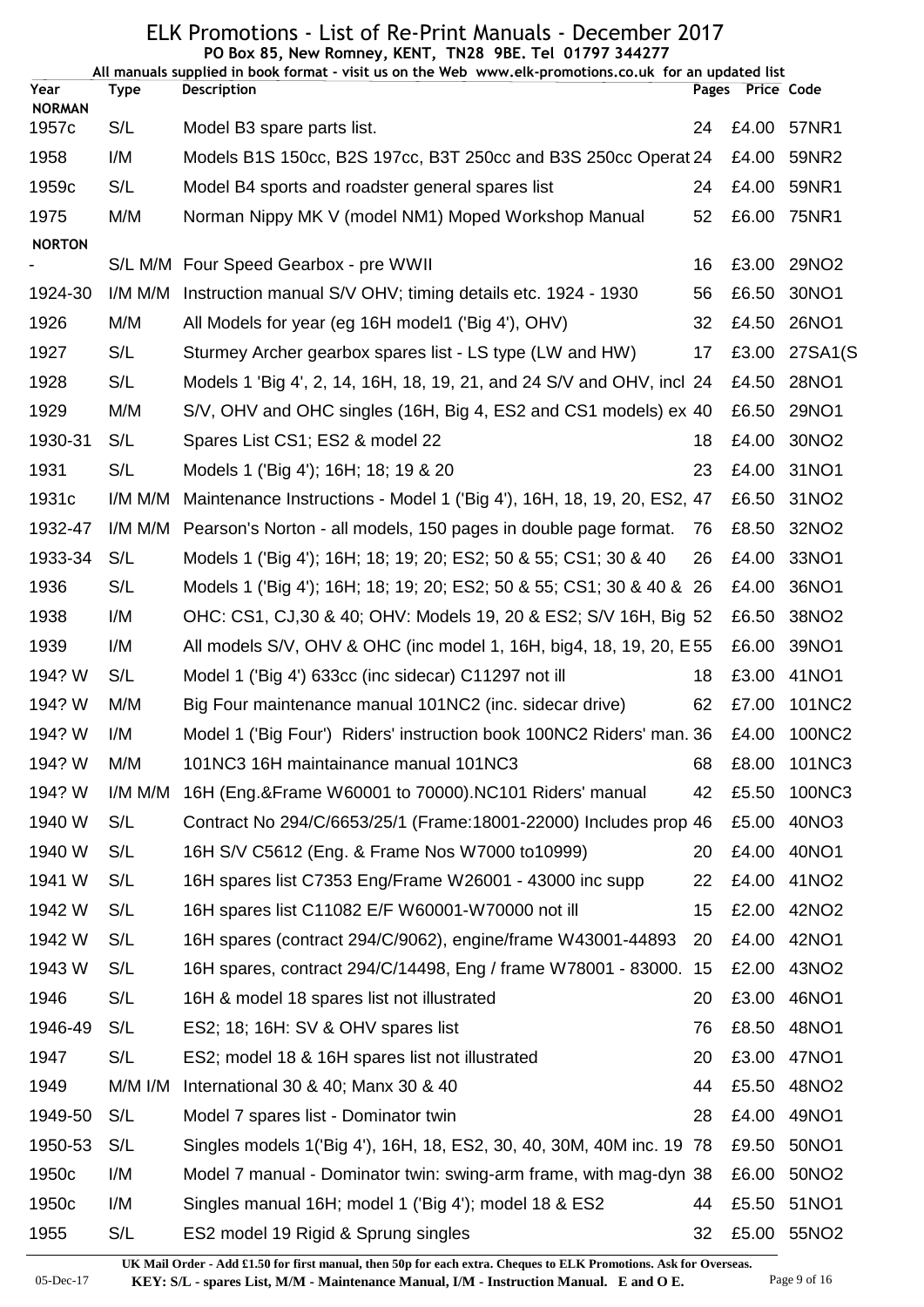|                       |           | PO Box 85, New Romney, KENT, TN28 9BE. Tel 01797 344277<br>All manuals supplied in book format - visit us on the Web www.elk-promotions.co.uk for an updated list |       |                   |                   |
|-----------------------|-----------|-------------------------------------------------------------------------------------------------------------------------------------------------------------------|-------|-------------------|-------------------|
| Year<br><b>NORMAN</b> | Type      | <b>Description</b>                                                                                                                                                | Pages | <b>Price Code</b> |                   |
| 1957c                 | S/L       | Model B3 spare parts list.                                                                                                                                        | 24    | £4.00             | 57NR1             |
| 1958                  | I/M       | Models B1S 150cc, B2S 197cc, B3T 250cc and B3S 250cc Operat 24                                                                                                    |       | £4.00             | 59NR2             |
| 1959 <sub>c</sub>     | S/L       | Model B4 sports and roadster general spares list                                                                                                                  | 24    | £4.00             | 59NR1             |
| 1975                  | M/M       | Norman Nippy MK V (model NM1) Moped Workshop Manual                                                                                                               | 52    | £6.00             | 75NR1             |
| <b>NORTON</b>         |           |                                                                                                                                                                   |       |                   |                   |
|                       |           | S/L M/M Four Speed Gearbox - pre WWII                                                                                                                             | 16    | £3.00             | 29NO2             |
| 1924-30               | I/M M/M   | Instruction manual S/V OHV; timing details etc. 1924 - 1930                                                                                                       | 56    | £6.50             | 30NO1             |
| 1926                  | M/M       | All Models for year (eg 16H model1 ('Big 4'), OHV)                                                                                                                | 32    | £4.50             | 26NO1             |
| 1927                  | S/L       | Sturmey Archer gearbox spares list - LS type (LW and HW)                                                                                                          | 17    | £3.00             | 27SA1(S           |
| 1928                  | S/L       | Models 1 'Big 4', 2, 14, 16H, 18, 19, 21, and 24 S/V and OHV, incl 24                                                                                             |       | £4.50             | 28NO1             |
| 1929                  | M/M       | S/V, OHV and OHC singles (16H, Big 4, ES2 and CS1 models) ex 40                                                                                                   |       | £6.50             | 29NO1             |
| 1930-31               | S/L       | Spares List CS1; ES2 & model 22                                                                                                                                   | 18    | £4.00             | 30NO <sub>2</sub> |
| 1931                  | S/L       | Models 1 ('Big 4'); 16H; 18; 19 & 20                                                                                                                              | 23    | £4.00             | 31NO1             |
| 1931c                 | I/M M/M   | Maintenance Instructions - Model 1 ('Big 4'), 16H, 18, 19, 20, ES2, 47                                                                                            |       | £6.50             | 31NO <sub>2</sub> |
| 1932-47               | I/M M/M   | Pearson's Norton - all models, 150 pages in double page format.                                                                                                   | 76    | £8.50             | 32NO <sub>2</sub> |
| 1933-34               | S/L       | Models 1 ('Big 4'); 16H; 18; 19; 20; ES2; 50 & 55; CS1; 30 & 40                                                                                                   | 26    | £4.00             | 33NO1             |
| 1936                  | S/L       | Models 1 ('Big 4'); 16H; 18; 19; 20; ES2; 50 & 55; CS1; 30 & 40 & 26                                                                                              |       | £4.00             | 36NO1             |
| 1938                  | I/M       | OHC: CS1, CJ,30 & 40; OHV: Models 19, 20 & ES2; S/V 16H, Big 52                                                                                                   |       | £6.50             | 38NO <sub>2</sub> |
| 1939                  | I/M       | All models S/V, OHV & OHC (inc model 1, 16H, big4, 18, 19, 20, E 55                                                                                               |       | £6.00             | 39NO1             |
| 194? W                | S/L       | Model 1 ('Big 4') 633cc (inc sidecar) C11297 not ill                                                                                                              | 18    | £3.00             | 41NO1             |
| 194? W                | M/M       | Big Four maintenance manual 101NC2 (inc. sidecar drive)                                                                                                           | 62    | £7.00             | 101NC2            |
| 194? W                | I/M       | Model 1 ('Big Four') Riders' instruction book 100NC2 Riders' man. 36                                                                                              |       | £4.00             | 100NC2            |
| 194? W                | M/M       | 101NC3 16H maintainance manual 101NC3                                                                                                                             | 68    | £8.00             | 101NC3            |
| 194? W                | I/M M/M   | 16H (Eng.&Frame W60001 to 70000).NC101 Riders' manual                                                                                                             | 42    | £5.50             | 100NC3            |
| 1940 W                | S/L       | Contract No 294/C/6653/25/1 (Frame: 18001-22000) Includes prop 46                                                                                                 |       | £5.00             | 40NO3             |
| 1940 W                | S/L       | 16H S/V C5612 (Eng. & Frame Nos W7000 to 10999)                                                                                                                   | 20    | £4.00             | 40NO1             |
| 1941 W                | S/L       | 16H spares list C7353 Eng/Frame W26001 - 43000 inc supp                                                                                                           | 22    | £4.00             | 41NO <sub>2</sub> |
| 1942 W                | S/L       | 16H spares list C11082 E/F W60001-W70000 not ill                                                                                                                  | 15    | £2.00             | 42NO <sub>2</sub> |
| 1942 W                | S/L       | 16H spares (contract 294/C/9062), engine/frame W43001-44893                                                                                                       | 20    | £4.00             | 42NO1             |
| 1943 W                | S/L       | 16H spares, contract 294/C/14498, Eng / frame W78001 - 83000. 15                                                                                                  |       | £2.00             | 43NO <sub>2</sub> |
| 1946                  | S/L       | 16H & model 18 spares list not illustrated                                                                                                                        | 20    | £3.00             | 46NO1             |
| 1946-49               | S/L       | ES2; 18; 16H: SV & OHV spares list                                                                                                                                | 76    | £8.50             | 48NO1             |
| 1947                  | S/L       | ES2; model 18 & 16H spares list not illustrated                                                                                                                   | 20    | £3.00             | 47NO1             |
| 1949                  | $M/M$ I/M | International 30 & 40; Manx 30 & 40                                                                                                                               | 44    | £5.50             | 48NO <sub>2</sub> |
| 1949-50               | S/L       | Model 7 spares list - Dominator twin                                                                                                                              | 28    | £4.00             | 49NO1             |
| 1950-53               | S/L       | Singles models 1 ('Big 4'), 16H, 18, ES2, 30, 40, 30M, 40M inc. 19 78                                                                                             |       | £9.50             | 50NO1             |
| 1950c                 | I/M       | Model 7 manual - Dominator twin: swing-arm frame, with mag-dyn 38                                                                                                 |       | £6.00             | 50NO <sub>2</sub> |
| 1950 <sub>c</sub>     | I/M       | Singles manual 16H; model 1 ('Big 4'); model 18 & ES2                                                                                                             | 44    | £5.50             | 51NO1             |
| 1955                  | S/L       | ES2 model 19 Rigid & Sprung singles                                                                                                                               | 32    | £5.00             | 55NO2             |
|                       |           |                                                                                                                                                                   |       |                   |                   |

05-Dec-17 **KEY: S/L - spares List, M/M - Maintenance Manual, I/M - Instruction Manual. E and O E.** Page 9 of 16 **UK Mail Order - Add £1.50 for first manual, then 50p for each extra. Cheques to ELK Promotions. Ask for Overseas.**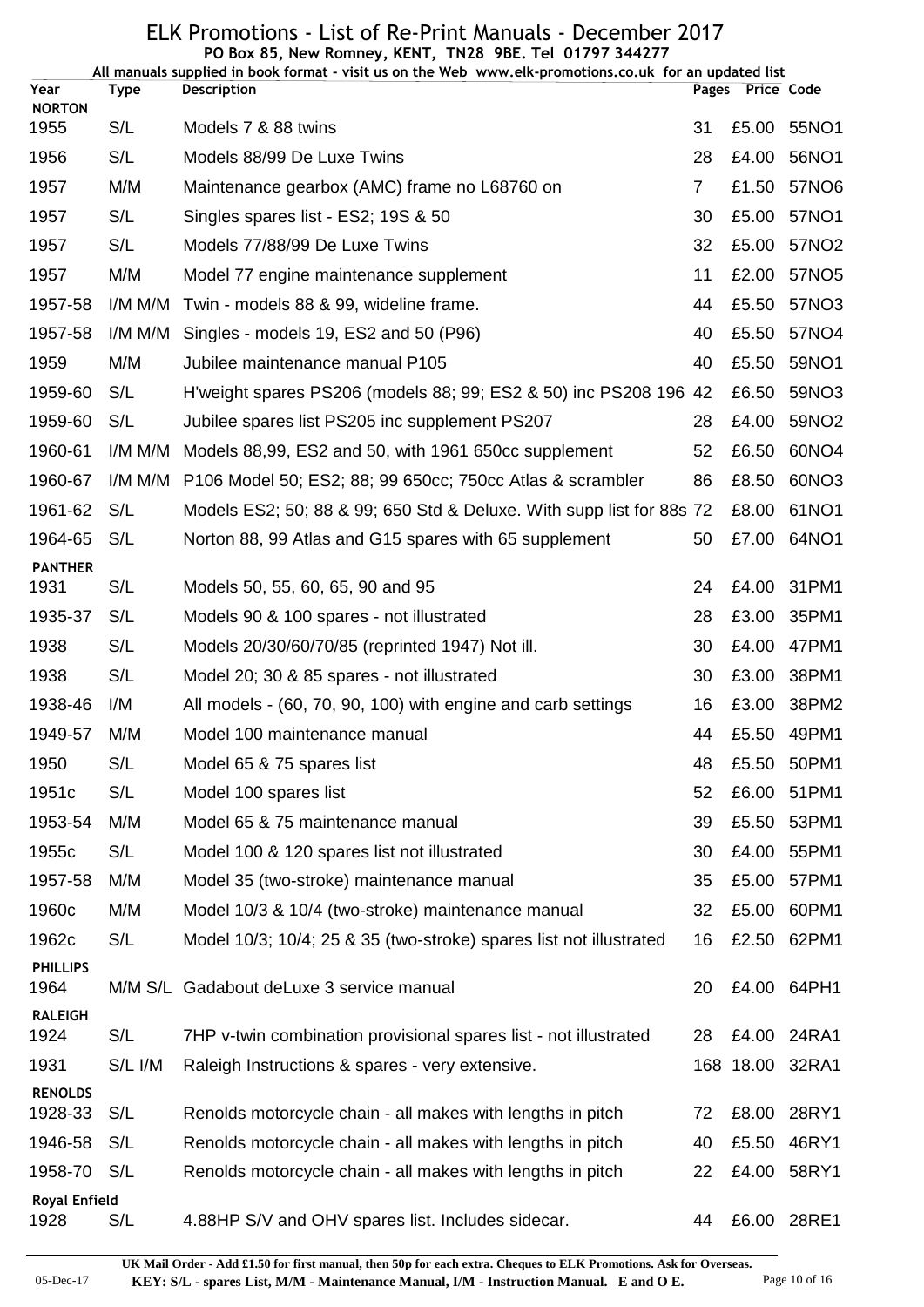#### ELK Promotions - List of Re-Print Manuals - December 2017 **PO Box 85, New Romney, KENT, TN28 9BE. Tel 01797 344277**

| All manuals supplied in book format - visit us on the Web www.elk-promotions.co.uk for an updated list |             |                                                                      |                |       |                   |  |  |
|--------------------------------------------------------------------------------------------------------|-------------|----------------------------------------------------------------------|----------------|-------|-------------------|--|--|
| Year<br><b>NORTON</b>                                                                                  | <b>Type</b> | Description                                                          | Pages          |       | Price Code        |  |  |
| 1955                                                                                                   | S/L         | Models 7 & 88 twins                                                  | 31             |       | £5.00 55NO1       |  |  |
| 1956                                                                                                   | S/L         | Models 88/99 De Luxe Twins                                           | 28             | £4.00 | 56NO1             |  |  |
| 1957                                                                                                   | M/M         | Maintenance gearbox (AMC) frame no L68760 on                         | $\overline{7}$ | £1.50 | 57NO6             |  |  |
| 1957                                                                                                   | S/L         | Singles spares list - ES2; 19S & 50                                  | 30             | £5.00 | 57NO1             |  |  |
| 1957                                                                                                   | S/L         | Models 77/88/99 De Luxe Twins                                        | 32             | £5.00 | 57NO2             |  |  |
| 1957                                                                                                   | M/M         | Model 77 engine maintenance supplement                               | 11             |       | £2.00 57NO5       |  |  |
| 1957-58                                                                                                | I/M M/M     | Twin - models 88 & 99, wideline frame.                               | 44             | £5.50 | 57NO3             |  |  |
| 1957-58                                                                                                | I/M M/M     | Singles - models 19, ES2 and 50 (P96)                                | 40             | £5.50 | 57NO4             |  |  |
| 1959                                                                                                   | M/M         | Jubilee maintenance manual P105                                      | 40             | £5.50 | 59NO1             |  |  |
| 1959-60                                                                                                | S/L         | H'weight spares PS206 (models 88; 99; ES2 & 50) inc PS208 196 42     |                | £6.50 | 59NO3             |  |  |
| 1959-60                                                                                                | S/L         | Jubilee spares list PS205 inc supplement PS207                       | 28             | £4.00 | 59NO <sub>2</sub> |  |  |
| 1960-61                                                                                                | $I/M$ M/M   | Models 88,99, ES2 and 50, with 1961 650cc supplement                 | 52             | £6.50 | 60NO4             |  |  |
| 1960-67                                                                                                | I/M M/M     | P106 Model 50; ES2; 88; 99 650cc; 750cc Atlas & scrambler            | 86             | £8.50 | 60NO3             |  |  |
| 1961-62                                                                                                | S/L         | Models ES2; 50; 88 & 99; 650 Std & Deluxe. With supp list for 88s 72 |                | £8.00 | 61NO1             |  |  |
| 1964-65                                                                                                | S/L         | Norton 88, 99 Atlas and G15 spares with 65 supplement                | 50             |       | £7.00 64NO1       |  |  |
| <b>PANTHER</b>                                                                                         |             |                                                                      |                |       |                   |  |  |
| 1931                                                                                                   | S/L         | Models 50, 55, 60, 65, 90 and 95                                     | 24             |       | £4.00 31PM1       |  |  |
| 1935-37                                                                                                | S/L         | Models 90 & 100 spares - not illustrated                             | 28             | £3.00 | 35PM1             |  |  |
| 1938                                                                                                   | S/L         | Models 20/30/60/70/85 (reprinted 1947) Not ill.                      | 30             |       | £4.00 47PM1       |  |  |
| 1938                                                                                                   | S/L         | Model 20; 30 & 85 spares - not illustrated                           | 30             | £3.00 | 38PM1             |  |  |
| 1938-46                                                                                                | I/M         | All models - (60, 70, 90, 100) with engine and carb settings         | 16             | £3.00 | 38PM2             |  |  |
| 1949-57                                                                                                | M/M         | Model 100 maintenance manual                                         | 44             |       | £5.50 49PM1       |  |  |
| 1950                                                                                                   | S/L         | Model 65 & 75 spares list                                            | 48             |       | £5.50 50PM1       |  |  |
| 1951c                                                                                                  | S/L         | Model 100 spares list                                                | 52             |       | £6.00 51PM1       |  |  |
| 1953-54                                                                                                | M/M         | Model 65 & 75 maintenance manual                                     | 39             |       | £5.50 53PM1       |  |  |
| 1955c                                                                                                  | S/L         | Model 100 & 120 spares list not illustrated                          | 30             | £4.00 | 55PM1             |  |  |
| 1957-58                                                                                                | M/M         | Model 35 (two-stroke) maintenance manual                             | 35             | £5.00 | 57PM1             |  |  |
| 1960c                                                                                                  | M/M         | Model 10/3 & 10/4 (two-stroke) maintenance manual                    | 32             | £5.00 | 60PM1             |  |  |
| 1962c                                                                                                  | S/L         | Model 10/3; 10/4; 25 & 35 (two-stroke) spares list not illustrated   | 16             |       | £2.50 62PM1       |  |  |
| <b>PHILLIPS</b><br>1964                                                                                | M/M S/L     | Gadabout deLuxe 3 service manual                                     | 20             |       | £4.00 64PH1       |  |  |
| <b>RALEIGH</b><br>1924                                                                                 | S/L         | 7HP v-twin combination provisional spares list - not illustrated     | 28             |       | £4.00 24RA1       |  |  |
| 1931                                                                                                   | S/L I/M     | Raleigh Instructions & spares - very extensive.                      |                |       | 168 18.00 32RA1   |  |  |
| <b>RENOLDS</b><br>1928-33                                                                              | S/L         | Renolds motorcycle chain - all makes with lengths in pitch           | 72             |       | £8.00 28RY1       |  |  |
| 1946-58                                                                                                | S/L         | Renolds motorcycle chain - all makes with lengths in pitch           | 40             |       | £5.50 46RY1       |  |  |
| 1958-70                                                                                                | S/L         | Renolds motorcycle chain - all makes with lengths in pitch           | 22             |       | £4.00 58RY1       |  |  |
| <b>Royal Enfield</b><br>1928                                                                           | S/L         | 4.88HP S/V and OHV spares list. Includes sidecar.                    | 44             |       | £6.00 28RE1       |  |  |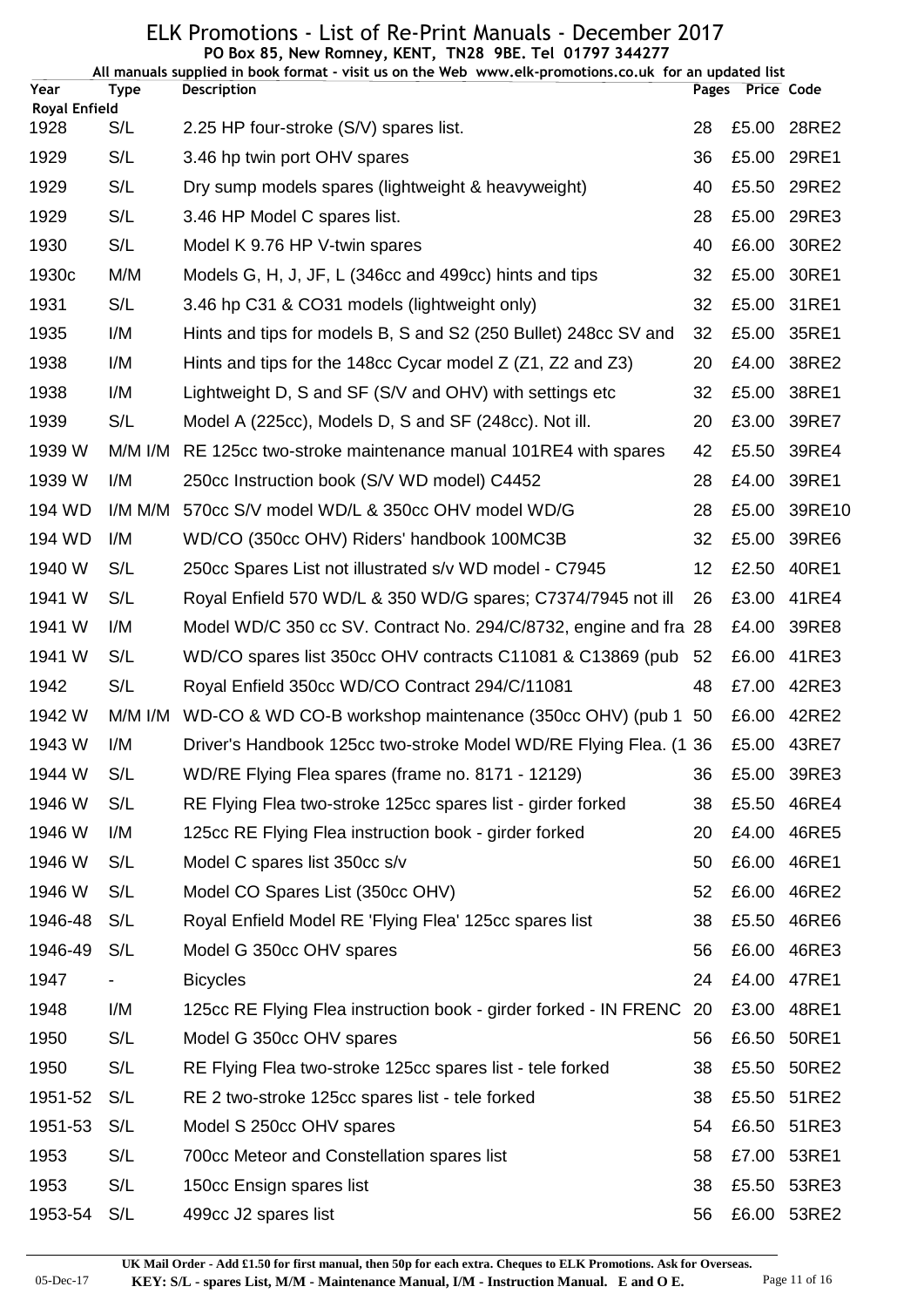|                              |           | PO Box 85, New Romney, KENT, TN28 9BE. Tel 01797 344277<br>All manuals supplied in book format - visit us on the Web www.elk-promotions.co.uk for an updated list |    |                  |        |
|------------------------------|-----------|-------------------------------------------------------------------------------------------------------------------------------------------------------------------|----|------------------|--------|
| Year                         | Type      | <b>Description</b>                                                                                                                                                |    | Pages Price Code |        |
| <b>Royal Enfield</b><br>1928 | S/L       | 2.25 HP four-stroke (S/V) spares list.                                                                                                                            | 28 | £5.00            | 28RE2  |
| 1929                         | S/L       | 3.46 hp twin port OHV spares                                                                                                                                      | 36 | £5.00            | 29RE1  |
| 1929                         | S/L       | Dry sump models spares (lightweight & heavyweight)                                                                                                                | 40 | £5.50            | 29RE2  |
| 1929                         | S/L       | 3.46 HP Model C spares list.                                                                                                                                      | 28 | £5.00            | 29RE3  |
| 1930                         | S/L       | Model K 9.76 HP V-twin spares                                                                                                                                     | 40 | £6.00            | 30RE2  |
| 1930 <sub>c</sub>            | M/M       | Models G, H, J, JF, L (346cc and 499cc) hints and tips                                                                                                            | 32 | £5.00            | 30RE1  |
| 1931                         | S/L       | 3.46 hp C31 & CO31 models (lightweight only)                                                                                                                      | 32 | £5.00            | 31RE1  |
| 1935                         | I/M       | Hints and tips for models B, S and S2 (250 Bullet) 248cc SV and                                                                                                   | 32 | £5.00            | 35RE1  |
| 1938                         | I/M       | Hints and tips for the 148cc Cycar model $Z$ ( $Z_1$ , $Z_2$ and $Z_3$ )                                                                                          | 20 | £4.00            | 38RE2  |
| 1938                         | I/M       | Lightweight D, S and SF (S/V and OHV) with settings etc                                                                                                           | 32 | £5.00            | 38RE1  |
| 1939                         | S/L       | Model A (225cc), Models D, S and SF (248cc). Not ill.                                                                                                             | 20 | £3.00            | 39RE7  |
| 1939 W                       | $M/M$ I/M | RE 125cc two-stroke maintenance manual 101RE4 with spares                                                                                                         | 42 | £5.50            | 39RE4  |
| 1939 W                       | I/M       | 250cc Instruction book (S/V WD model) C4452                                                                                                                       | 28 | £4.00            | 39RE1  |
| 194 WD                       | I/M M/M   | 570cc S/V model WD/L & 350cc OHV model WD/G                                                                                                                       | 28 | £5.00            | 39RE10 |
| 194 WD                       | I/M       | WD/CO (350cc OHV) Riders' handbook 100MC3B                                                                                                                        | 32 | £5.00            | 39RE6  |
| 1940 W                       | S/L       | 250cc Spares List not illustrated s/v WD model - C7945                                                                                                            | 12 | £2.50            | 40RE1  |
| 1941 W                       | S/L       | Royal Enfield 570 WD/L & 350 WD/G spares; C7374/7945 not ill                                                                                                      | 26 | £3.00            | 41RE4  |
| 1941 W                       | I/M       | Model WD/C 350 cc SV. Contract No. 294/C/8732, engine and fra 28                                                                                                  |    | £4.00            | 39RE8  |
| 1941 W                       | S/L       | WD/CO spares list 350cc OHV contracts C11081 & C13869 (pub                                                                                                        | 52 | £6.00            | 41RE3  |
| 1942                         | S/L       | Royal Enfield 350cc WD/CO Contract 294/C/11081                                                                                                                    | 48 | £7.00            | 42RE3  |
| 1942 W                       | M/M I/M   | WD-CO & WD CO-B workshop maintenance (350cc OHV) (pub 1 50                                                                                                        |    | £6.00            | 42RE2  |
| 1943 W                       | I/M       | Driver's Handbook 125cc two-stroke Model WD/RE Flying Flea. (1 36 £5.00 43RE7                                                                                     |    |                  |        |
| 1944 W                       | S/L       | WD/RE Flying Flea spares (frame no. 8171 - 12129)                                                                                                                 | 36 | £5.00            | 39RE3  |
| 1946 W                       | S/L       | RE Flying Flea two-stroke 125cc spares list - girder forked                                                                                                       | 38 | £5.50            | 46RE4  |
| 1946 W                       | I/M       | 125cc RE Flying Flea instruction book - girder forked                                                                                                             | 20 | £4.00            | 46RE5  |
| 1946 W                       | S/L       | Model C spares list 350cc s/v                                                                                                                                     | 50 | £6.00            | 46RE1  |
| 1946 W                       | S/L       | Model CO Spares List (350cc OHV)                                                                                                                                  | 52 | £6.00            | 46RE2  |
| 1946-48                      | S/L       | Royal Enfield Model RE 'Flying Flea' 125cc spares list                                                                                                            | 38 | £5.50            | 46RE6  |
| 1946-49                      | S/L       | Model G 350cc OHV spares                                                                                                                                          | 56 | £6.00            | 46RE3  |
| 1947                         |           | <b>Bicycles</b>                                                                                                                                                   | 24 | £4.00            | 47RE1  |
| 1948                         | I/M       | 125cc RE Flying Flea instruction book - girder forked - IN FRENC                                                                                                  | 20 | £3.00            | 48RE1  |
| 1950                         | S/L       | Model G 350cc OHV spares                                                                                                                                          | 56 | £6.50            | 50RE1  |
| 1950                         | S/L       | RE Flying Flea two-stroke 125cc spares list - tele forked                                                                                                         | 38 | £5.50            | 50RE2  |
| 1951-52                      | S/L       | RE 2 two-stroke 125cc spares list - tele forked                                                                                                                   | 38 | £5.50            | 51RE2  |
| 1951-53                      | S/L       | Model S 250cc OHV spares                                                                                                                                          | 54 | £6.50            | 51RE3  |
| 1953                         | S/L       | 700cc Meteor and Constellation spares list                                                                                                                        | 58 | £7.00            | 53RE1  |
| 1953                         | S/L       | 150cc Ensign spares list                                                                                                                                          | 38 | £5.50            | 53RE3  |
| 1953-54                      | S/L       | 499cc J2 spares list                                                                                                                                              | 56 | £6.00            | 53RE2  |

05-Dec-17 **KEY: S/L - spares List, M/M - Maintenance Manual, I/M - Instruction Manual. E and O E.** Page 11 of 16 **UK Mail Order - Add £1.50 for first manual, then 50p for each extra. Cheques to ELK Promotions. Ask for Overseas.**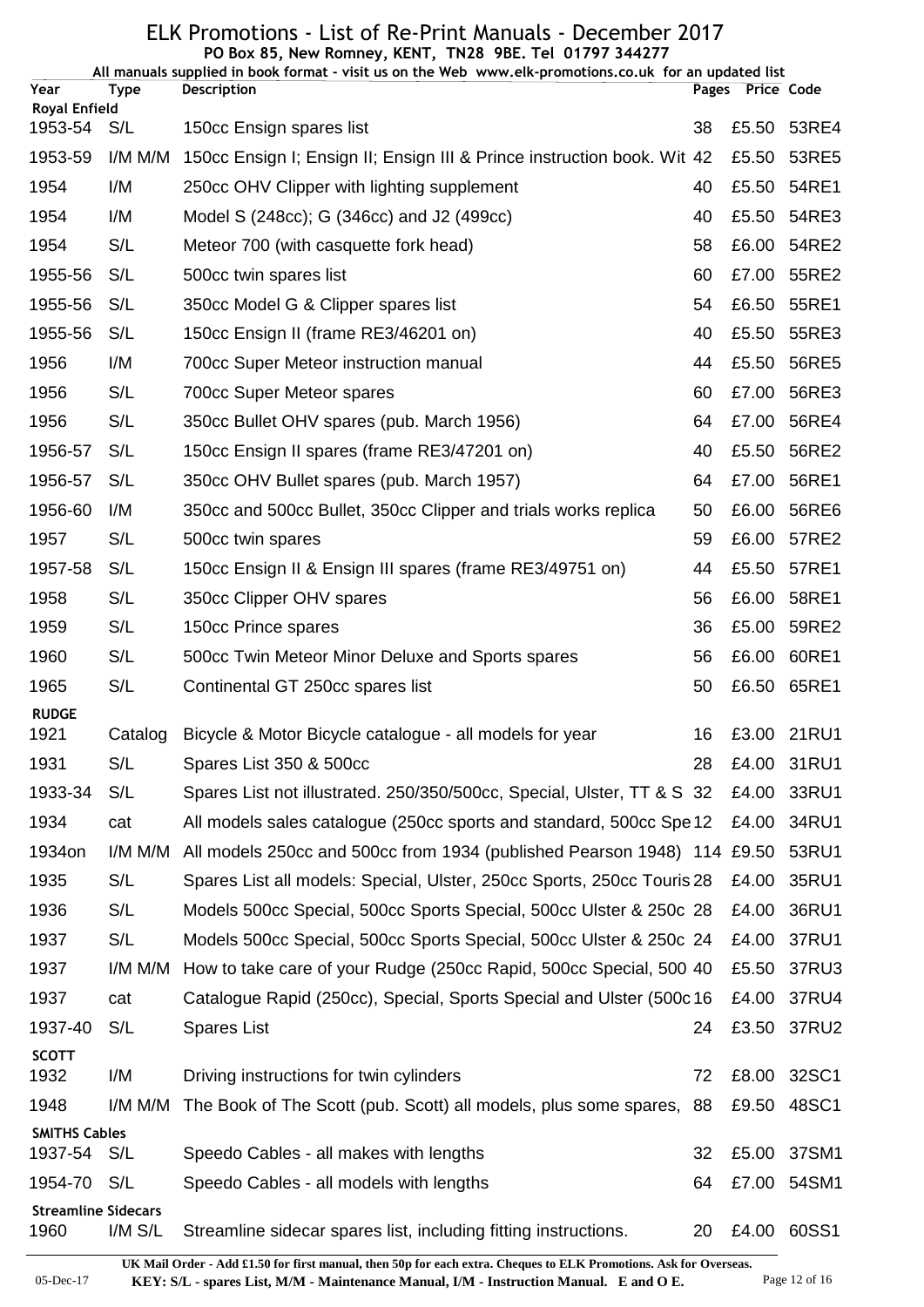#### ELK Promotions - List of Re-Print Manuals - December 2017 **PO Box 85, New Romney, KENT, TN28 9BE. Tel 01797 344277**

| Year                               | <b>Type</b> | All manuals supplied in book format - visit us on the Web www.elk-promotions.co.uk for an updated list<br><b>Description</b> |    | Pages Price Code |             |
|------------------------------------|-------------|------------------------------------------------------------------------------------------------------------------------------|----|------------------|-------------|
| <b>Royal Enfield</b>               |             |                                                                                                                              |    |                  |             |
| 1953-54                            | S/L         | 150cc Ensign spares list                                                                                                     | 38 | £5.50            | 53RE4       |
| 1953-59                            | I/M M/M     | 150cc Ensign I; Ensign II; Ensign III & Prince instruction book. Wit 42                                                      |    | £5.50            | 53RE5       |
| 1954                               | I/M         | 250cc OHV Clipper with lighting supplement                                                                                   | 40 | £5.50            | 54RE1       |
| 1954                               | I/M         | Model S (248cc); G (346cc) and J2 (499cc)                                                                                    | 40 | £5.50            | 54RE3       |
| 1954                               | S/L         | Meteor 700 (with casquette fork head)                                                                                        | 58 | £6.00            | 54RE2       |
| 1955-56                            | S/L         | 500cc twin spares list                                                                                                       | 60 | £7.00            | 55RE2       |
| 1955-56                            | S/L         | 350cc Model G & Clipper spares list                                                                                          | 54 | £6.50            | 55RE1       |
| 1955-56                            | S/L         | 150cc Ensign II (frame RE3/46201 on)                                                                                         | 40 | £5.50            | 55RE3       |
| 1956                               | I/M         | 700cc Super Meteor instruction manual                                                                                        | 44 | £5.50            | 56RE5       |
| 1956                               | S/L         | 700cc Super Meteor spares                                                                                                    | 60 | £7.00            | 56RE3       |
| 1956                               | S/L         | 350cc Bullet OHV spares (pub. March 1956)                                                                                    | 64 | £7.00            | 56RE4       |
| 1956-57                            | S/L         | 150cc Ensign II spares (frame RE3/47201 on)                                                                                  | 40 | £5.50            | 56RE2       |
| 1956-57                            | S/L         | 350cc OHV Bullet spares (pub. March 1957)                                                                                    | 64 | £7.00            | 56RE1       |
| 1956-60                            | I/M         | 350cc and 500cc Bullet, 350cc Clipper and trials works replica                                                               | 50 | £6.00            | 56RE6       |
| 1957                               | S/L         | 500cc twin spares                                                                                                            | 59 | £6.00            | 57RE2       |
| 1957-58                            | S/L         | 150cc Ensign II & Ensign III spares (frame RE3/49751 on)                                                                     | 44 | £5.50            | 57RE1       |
| 1958                               | S/L         | 350cc Clipper OHV spares                                                                                                     | 56 | £6.00            | 58RE1       |
| 1959                               | S/L         | 150cc Prince spares                                                                                                          | 36 | £5.00            | 59RE2       |
| 1960                               | S/L         | 500cc Twin Meteor Minor Deluxe and Sports spares                                                                             | 56 | £6.00            | 60RE1       |
| 1965                               | S/L         | Continental GT 250cc spares list                                                                                             | 50 |                  | £6.50 65RE1 |
| <b>RUDGE</b>                       |             |                                                                                                                              |    |                  |             |
| 1921                               | Catalog     | Bicycle & Motor Bicycle catalogue - all models for year                                                                      | 16 |                  | £3.00 21RU1 |
| 1931                               | S/L         | Spares List 350 & 500cc                                                                                                      | 28 | £4.00            | 31RU1       |
| 1933-34                            | S/L         | Spares List not illustrated. 250/350/500cc, Special, Ulster, TT & S 32                                                       |    | £4.00            | 33RU1       |
| 1934                               | cat         | All models sales catalogue (250cc sports and standard, 500cc Spe 12)                                                         |    | £4.00            | 34RU1       |
| 1934on                             | I/M M/M     | All models 250cc and 500cc from 1934 (published Pearson 1948) 114 £9.50                                                      |    |                  | 53RU1       |
| 1935                               | S/L         | Spares List all models: Special, Ulster, 250cc Sports, 250cc Touris 28                                                       |    | £4.00            | 35RU1       |
| 1936                               | S/L         | Models 500cc Special, 500cc Sports Special, 500cc Ulster & 250c 28                                                           |    | £4.00            | 36RU1       |
| 1937                               | S/L         | Models 500cc Special, 500cc Sports Special, 500cc Ulster & 250c 24                                                           |    | £4.00            | 37RU1       |
| 1937                               | I/M M/M     | How to take care of your Rudge (250cc Rapid, 500cc Special, 500 40                                                           |    | £5.50            | 37RU3       |
| 1937                               | cat         | Catalogue Rapid (250cc), Special, Sports Special and Ulster (500c16                                                          |    | £4.00            | 37RU4       |
| 1937-40                            | S/L         | <b>Spares List</b>                                                                                                           | 24 | £3.50            | 37RU2       |
| <b>SCOTT</b><br>1932               | I/M         | Driving instructions for twin cylinders                                                                                      | 72 | £8.00            | 32SC1       |
| 1948                               | I/M M/M     | The Book of The Scott (pub. Scott) all models, plus some spares, 88                                                          |    | £9.50            | 48SC1       |
| <b>SMITHS Cables</b><br>1937-54    | S/L         | Speedo Cables - all makes with lengths                                                                                       | 32 | £5.00            | 37SM1       |
| 1954-70                            | S/L         | Speedo Cables - all models with lengths                                                                                      | 64 | £7.00            | 54SM1       |
| <b>Streamline Sidecars</b><br>1960 | $I/M$ $S/L$ | Streamline sidecar spares list, including fitting instructions.                                                              | 20 | £4.00            | 60SS1       |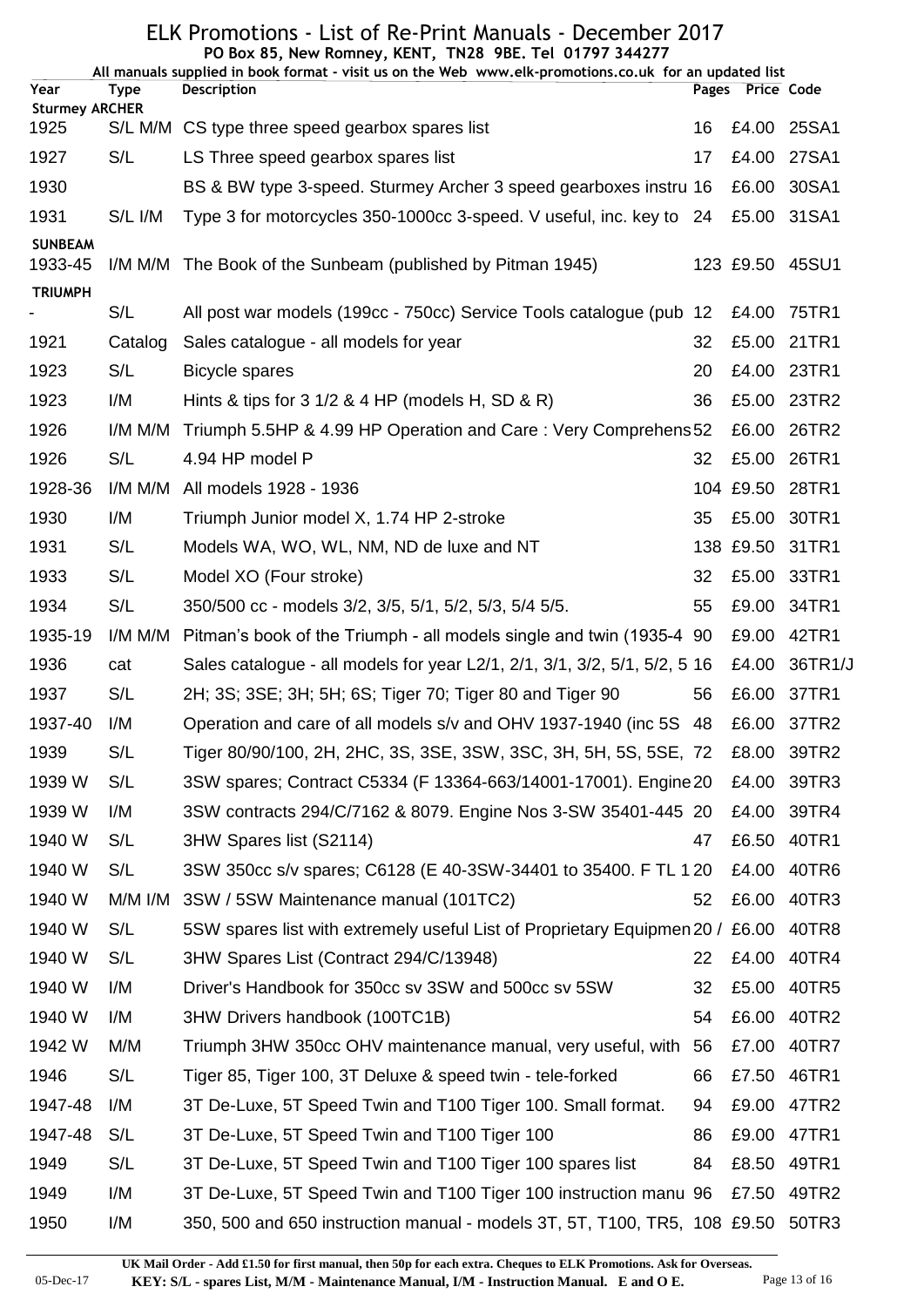|                               |             | PO Box 85, New Romney, KENT, TN28 9BE. Tel 01797 344277<br>All manuals supplied in book format - visit us on the Web www.elk-promotions.co.uk for an updated list |    |                  |                 |
|-------------------------------|-------------|-------------------------------------------------------------------------------------------------------------------------------------------------------------------|----|------------------|-----------------|
| Year                          | <b>Type</b> | <b>Description</b>                                                                                                                                                |    | Pages Price Code |                 |
| <b>Sturmey ARCHER</b><br>1925 |             | S/L M/M CS type three speed gearbox spares list                                                                                                                   | 16 | £4.00            | 25SA1           |
| 1927                          | S/L         | LS Three speed gearbox spares list                                                                                                                                | 17 | £4.00            | 27SA1           |
| 1930                          |             | BS & BW type 3-speed. Sturmey Archer 3 speed gearboxes instru 16                                                                                                  |    | £6.00            | 30SA1           |
| 1931                          | S/L I/M     | Type 3 for motorcycles 350-1000cc 3-speed. V useful, inc. key to 24                                                                                               |    |                  | £5.00 31SA1     |
| <b>SUNBEAM</b><br>1933-45     |             | I/M M/M The Book of the Sunbeam (published by Pitman 1945)                                                                                                        |    | 123 £9.50        | 45SU1           |
| <b>TRIUMPH</b>                |             |                                                                                                                                                                   |    |                  |                 |
|                               | S/L         | All post war models (199cc - 750cc) Service Tools catalogue (pub 12                                                                                               |    | £4.00            | 75TR1           |
| 1921                          | Catalog     | Sales catalogue - all models for year                                                                                                                             | 32 | £5.00            | 21TR1           |
| 1923                          | S/L         | <b>Bicycle spares</b>                                                                                                                                             | 20 | £4.00            | 23TR1           |
| 1923                          | I/M         | Hints & tips for $3\frac{1}{2}$ & $4$ HP (models H, SD & R)                                                                                                       | 36 | £5.00            | 23TR2           |
| 1926                          | I/M M/M     | Triumph 5.5HP & 4.99 HP Operation and Care: Very Comprehens 52                                                                                                    |    | £6.00            | 26TR2           |
| 1926                          | S/L         | 4.94 HP model P                                                                                                                                                   | 32 | £5.00            | 26TR1           |
| 1928-36                       | I/M M/M     | All models 1928 - 1936                                                                                                                                            |    |                  | 104 £9.50 28TR1 |
| 1930                          | I/M         | Triumph Junior model X, 1.74 HP 2-stroke                                                                                                                          | 35 | £5.00            | 30TR1           |
| 1931                          | S/L         | Models WA, WO, WL, NM, ND de luxe and NT                                                                                                                          |    | 138 £9.50        | 31TR1           |
| 1933                          | S/L         | Model XO (Four stroke)                                                                                                                                            | 32 | £5.00            | 33TR1           |
| 1934                          | S/L         | 350/500 cc - models 3/2, 3/5, 5/1, 5/2, 5/3, 5/4 5/5.                                                                                                             | 55 | £9.00            | 34TR1           |
| 1935-19                       | I/M M/M     | Pitman's book of the Triumph - all models single and twin (1935-4 90)                                                                                             |    | £9.00            | 42TR1           |
| 1936                          | cat         | Sales catalogue - all models for year L2/1, 2/1, 3/1, 3/2, 5/1, 5/2, 5 16                                                                                         |    | £4.00            | 36TR1/J         |
| 1937                          | S/L         | 2H; 3S; 3SE; 3H; 5H; 6S; Tiger 70; Tiger 80 and Tiger 90                                                                                                          | 56 | £6.00            | 37TR1           |
| 1937-40                       | I/M         | Operation and care of all models s/v and OHV 1937-1940 (inc 5S 48                                                                                                 |    | £6.00            | 37TR2           |
| 1939                          | S/L         | Tiger 80/90/100, 2H, 2HC, 3S, 3SE, 3SW, 3SC, 3H, 5H, 5S, 5SE, 72                                                                                                  |    | £8.00            | 39TR2           |
| 1939 W                        | S/L         | 3SW spares; Contract C5334 (F 13364-663/14001-17001). Engine 20                                                                                                   |    | £4.00            | 39TR3           |
| 1939 W                        | I/M         | 3SW contracts 294/C/7162 & 8079. Engine Nos 3-SW 35401-445 20                                                                                                     |    | £4.00            | 39TR4           |
| 1940 W                        | S/L         | 3HW Spares list (S2114)                                                                                                                                           | 47 | £6.50            | 40TR1           |
| 1940 W                        | S/L         | 3SW 350cc s/v spares; C6128 (E 40-3SW-34401 to 35400. F TL 1 20                                                                                                   |    | £4.00            | 40TR6           |
| 1940 W                        | $M/M$ I/M   | 3SW / 5SW Maintenance manual (101TC2)                                                                                                                             | 52 | £6.00            | 40TR3           |
| 1940 W                        | S/L         | 5SW spares list with extremely useful List of Proprietary Equipmen 20 / £6.00                                                                                     |    |                  | 40TR8           |
| 1940 W                        | S/L         | 3HW Spares List (Contract 294/C/13948)                                                                                                                            | 22 | £4.00            | 40TR4           |
| 1940 W                        | I/M         | Driver's Handbook for 350cc sv 3SW and 500cc sv 5SW                                                                                                               | 32 | £5.00            | 40TR5           |
| 1940 W                        | I/M         | 3HW Drivers handbook (100TC1B)                                                                                                                                    | 54 | £6.00            | 40TR2           |
| 1942 W                        | M/M         | Triumph 3HW 350cc OHV maintenance manual, very useful, with 56                                                                                                    |    | £7.00            | 40TR7           |
| 1946                          | S/L         | Tiger 85, Tiger 100, 3T Deluxe & speed twin - tele-forked                                                                                                         | 66 | £7.50            | 46TR1           |
| 1947-48                       | I/M         | 3T De-Luxe, 5T Speed Twin and T100 Tiger 100. Small format.                                                                                                       | 94 | £9.00            | 47TR2           |
| 1947-48                       | S/L         | 3T De-Luxe, 5T Speed Twin and T100 Tiger 100                                                                                                                      | 86 | £9.00            | 47TR1           |
| 1949                          | S/L         | 3T De-Luxe, 5T Speed Twin and T100 Tiger 100 spares list                                                                                                          | 84 | £8.50            | 49TR1           |
| 1949                          | I/M         | 3T De-Luxe, 5T Speed Twin and T100 Tiger 100 instruction manu 96                                                                                                  |    | £7.50            | 49TR2           |
| 1950                          | I/M         | 350, 500 and 650 instruction manual - models 3T, 5T, T100, TR5, 108 £9.50                                                                                         |    |                  | 50TR3           |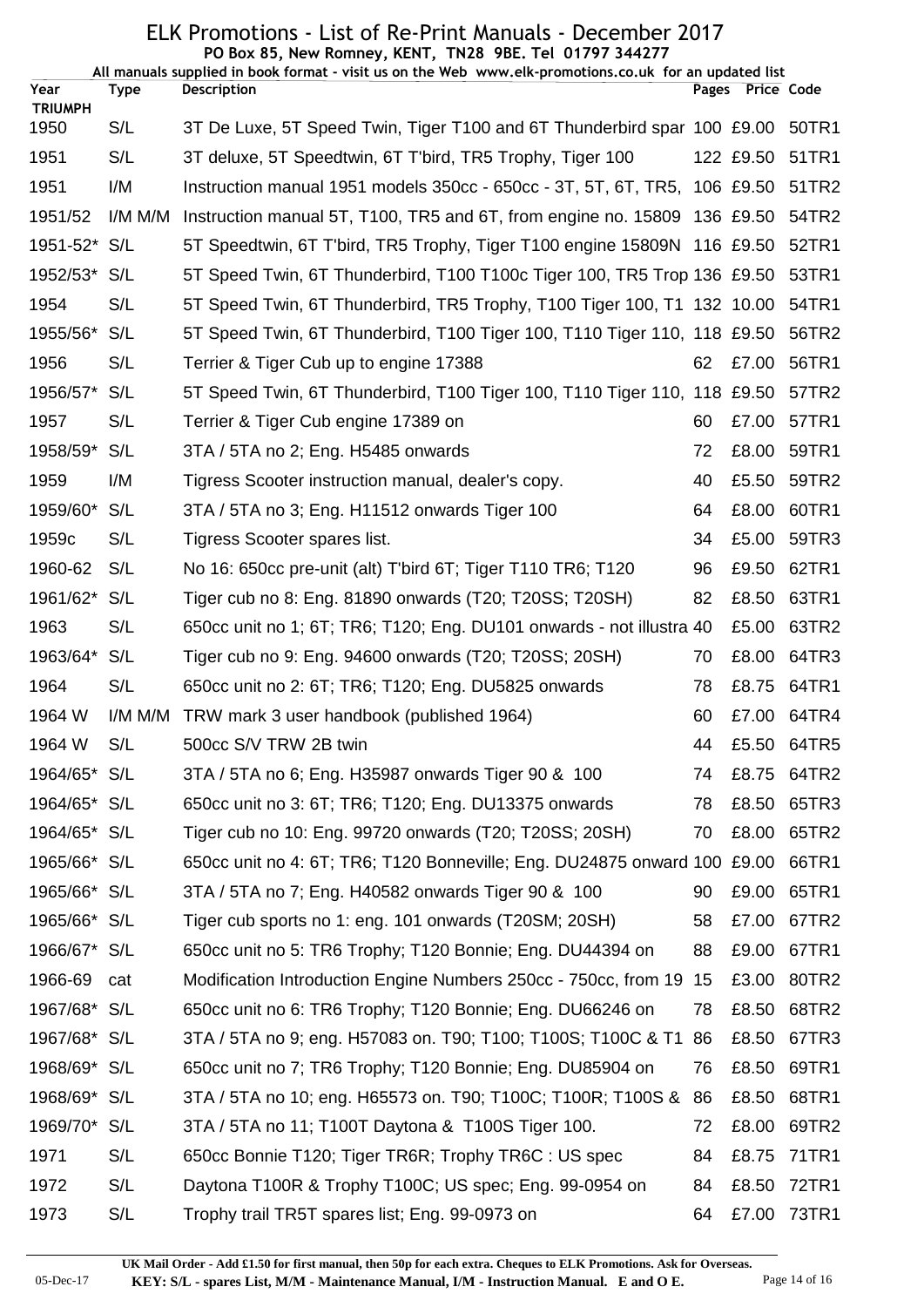|                |             | PO Box 85, New Romney, KENT, TN28 9BE. Tel 01797 344277<br>All manuals supplied in book format - visit us on the Web www.elk-promotions.co.uk for an updated list |    |                  |                |
|----------------|-------------|-------------------------------------------------------------------------------------------------------------------------------------------------------------------|----|------------------|----------------|
| Year           | <b>Type</b> | <b>Description</b>                                                                                                                                                |    | Pages Price Code |                |
| <b>TRIUMPH</b> |             |                                                                                                                                                                   |    |                  |                |
| 1950           | S/L         | 3T De Luxe, 5T Speed Twin, Tiger T100 and 6T Thunderbird spar 100 £9.00                                                                                           |    |                  | 50TR1          |
| 1951           | S/L         | 3T deluxe, 5T Speedtwin, 6T T'bird, TR5 Trophy, Tiger 100                                                                                                         |    | 122 £9.50        | 51TR1          |
| 1951           | I/M         | Instruction manual 1951 models 350cc - 650cc - 3T, 5T, 6T, TR5, 106 £9.50                                                                                         |    |                  | 51TR2          |
| 1951/52        | I/M M/M     | Instruction manual 5T, T100, TR5 and 6T, from engine no. 15809 136 £9.50                                                                                          |    |                  | 54TR2          |
| 1951-52* S/L   |             | 5T Speedtwin, 6T T'bird, TR5 Trophy, Tiger T100 engine 15809N 116 £9.50                                                                                           |    |                  | 52TR1          |
| 1952/53*       | S/L         | 5T Speed Twin, 6T Thunderbird, T100 T100c Tiger 100, TR5 Trop 136 £9.50                                                                                           |    |                  | 53TR1          |
| 1954           | S/L         | 5T Speed Twin, 6T Thunderbird, TR5 Trophy, T100 Tiger 100, T1 132 10.00                                                                                           |    |                  | 54TR1          |
| 1955/56*       | S/L         | 5T Speed Twin, 6T Thunderbird, T100 Tiger 100, T110 Tiger 110, 118 £9.50                                                                                          |    |                  | 56TR2          |
| 1956           | S/L         | Terrier & Tiger Cub up to engine 17388                                                                                                                            | 62 | £7.00            | 56TR1          |
| 1956/57*       | S/L         | 5T Speed Twin, 6T Thunderbird, T100 Tiger 100, T110 Tiger 110, 118 £9.50                                                                                          |    |                  | 57TR2          |
| 1957           | S/L         | Terrier & Tiger Cub engine 17389 on                                                                                                                               | 60 | £7.00            | 57TR1          |
| 1958/59*       | S/L         | 3TA / 5TA no 2; Eng. H5485 onwards                                                                                                                                | 72 |                  | £8.00 59TR1    |
| 1959           | I/M         | Tigress Scooter instruction manual, dealer's copy.                                                                                                                | 40 |                  | £5.50 59TR2    |
| 1959/60*       | S/L         | 3TA / 5TA no 3; Eng. H11512 onwards Tiger 100                                                                                                                     | 64 | £8.00            | 60TR1          |
| 1959c          | S/L         | Tigress Scooter spares list.                                                                                                                                      | 34 | £5.00            | 59TR3          |
| 1960-62        | S/L         | No 16: 650cc pre-unit (alt) T'bird 6T; Tiger T110 TR6; T120                                                                                                       | 96 | £9.50            | 62TR1          |
| 1961/62*       | S/L         | Tiger cub no 8: Eng. 81890 onwards (T20; T20SS; T20SH)                                                                                                            | 82 | £8.50            | 63TR1          |
| 1963           | S/L         | 650cc unit no 1; 6T; TR6; T120; Eng. DU101 onwards - not illustra 40                                                                                              |    | £5.00            | 63TR2          |
| 1963/64*       | S/L         | Tiger cub no 9: Eng. 94600 onwards (T20; T20SS; 20SH)                                                                                                             | 70 | £8.00            | 64TR3          |
| 1964           | S/L         | 650cc unit no 2: 6T; TR6; T120; Eng. DU5825 onwards                                                                                                               | 78 | £8.75            | 64TR1          |
| 1964 W         | $I/M$ M/M   | TRW mark 3 user handbook (published 1964)                                                                                                                         | 60 |                  | £7.00 64TR4    |
| 1964 W         | S/L         | 500cc S/V TRW 2B twin                                                                                                                                             |    |                  | 44 £5.50 64TR5 |
| 1964/65* S/L   |             | 3TA / 5TA no 6; Eng. H35987 onwards Tiger 90 & 100                                                                                                                | 74 |                  | £8.75 64TR2    |
| 1964/65* S/L   |             | 650cc unit no 3: 6T; TR6; T120; Eng. DU13375 onwards                                                                                                              | 78 | £8.50            | 65TR3          |
| 1964/65* S/L   |             | Tiger cub no 10: Eng. 99720 onwards (T20; T20SS; 20SH)                                                                                                            | 70 |                  | £8.00 65TR2    |
| 1965/66* S/L   |             | 650cc unit no 4: 6T; TR6; T120 Bonneville; Eng. DU24875 onward 100 £9.00                                                                                          |    |                  | 66TR1          |
| 1965/66* S/L   |             | 3TA / 5TA no 7; Eng. H40582 onwards Tiger 90 & 100                                                                                                                | 90 | £9.00            | 65TR1          |
| 1965/66* S/L   |             | Tiger cub sports no 1: eng. 101 onwards (T20SM; 20SH)                                                                                                             | 58 | £7.00            | 67TR2          |
| 1966/67* S/L   |             | 650cc unit no 5: TR6 Trophy; T120 Bonnie; Eng. DU44394 on                                                                                                         | 88 | £9.00            | 67TR1          |
| 1966-69 cat    |             | Modification Introduction Engine Numbers 250cc - 750cc, from 19                                                                                                   | 15 |                  | £3.00 80TR2    |
| 1967/68* S/L   |             | 650cc unit no 6: TR6 Trophy; T120 Bonnie; Eng. DU66246 on                                                                                                         | 78 | £8.50            | 68TR2          |
| 1967/68* S/L   |             | 3TA / 5TA no 9; eng. H57083 on. T90; T100; T100S; T100C & T1                                                                                                      | 86 | £8.50            | 67TR3          |
| 1968/69* S/L   |             | 650cc unit no 7; TR6 Trophy; T120 Bonnie; Eng. DU85904 on                                                                                                         | 76 | £8.50            | 69TR1          |
| 1968/69* S/L   |             | 3TA / 5TA no 10; eng. H65573 on. T90; T100C; T100R; T100S &                                                                                                       | 86 | £8.50            | 68TR1          |
| 1969/70* S/L   |             | 3TA / 5TA no 11; T100T Daytona & T100S Tiger 100.                                                                                                                 | 72 | £8.00            | 69TR2          |
| 1971           | S/L         | 650cc Bonnie T120; Tiger TR6R; Trophy TR6C : US spec                                                                                                              | 84 | £8.75            | 71TR1          |
| 1972           | S/L         | Daytona T100R & Trophy T100C; US spec; Eng. 99-0954 on                                                                                                            | 84 |                  | £8.50 72TR1    |
| 1973           | S/L         | Trophy trail TR5T spares list; Eng. 99-0973 on                                                                                                                    | 64 |                  | £7.00 73TR1    |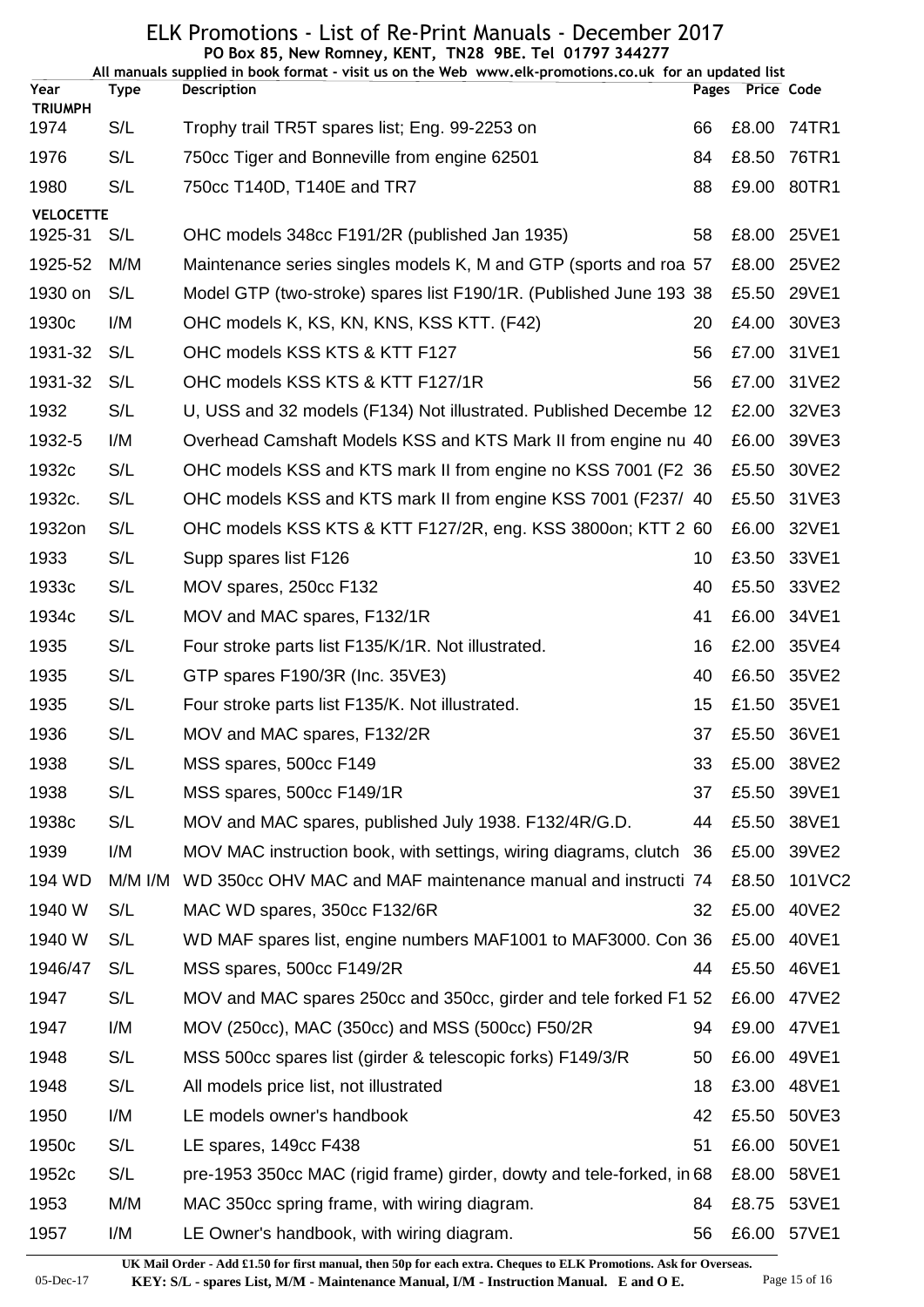| Year<br>Pages Price Code<br><b>Description</b><br>Type<br><b>TRIUMPH</b><br>S/L<br>1974<br>74TR1<br>Trophy trail TR5T spares list; Eng. 99-2253 on<br>66<br>£8.00<br>1976<br>S/L<br>76TR1<br>750cc Tiger and Bonneville from engine 62501<br>£8.50<br>84<br>S/L<br>£9.00 80TR1<br>1980<br>750cc T140D, T140E and TR7<br>88<br><b>VELOCETTE</b><br>1925-31<br>S/L<br>OHC models 348cc F191/2R (published Jan 1935)<br>£8.00<br>25VE1<br>58<br>1925-52<br>M/M<br>Maintenance series singles models K, M and GTP (sports and roa 57<br>£8.00<br>25VE2<br>1930 on<br>S/L<br>Model GTP (two-stroke) spares list F190/1R. (Published June 193 38<br>£5.50<br>29VE1<br>1930 <sub>c</sub><br>I/M<br>OHC models K, KS, KN, KNS, KSS KTT. (F42)<br>£4.00<br>30VE3<br>20<br>S/L<br>OHC models KSS KTS & KTT F127<br>£7.00<br>31VE1<br>1931-32<br>56<br>1931-32<br>OHC models KSS KTS & KTT F127/1R<br>S/L<br>56<br>£7.00<br>31VE2<br>S/L<br>1932<br>32VE3<br>U, USS and 32 models (F134) Not illustrated. Published Decembe 12<br>£2.00<br>39VE3<br>1932-5<br>I/M<br>Overhead Camshaft Models KSS and KTS Mark II from engine nu 40<br>£6.00<br>1932c<br>S/L<br>30VE2<br>OHC models KSS and KTS mark II from engine no KSS 7001 (F2 36<br>£5.50<br>S/L<br>31VE3<br>1932c.<br>OHC models KSS and KTS mark II from engine KSS 7001 (F237/ 40<br>£5.50<br>1932on<br>S/L<br>OHC models KSS KTS & KTT F127/2R, eng. KSS 3800on; KTT 2 60<br>£6.00<br>32VE1<br>S/L<br>1933<br>£3.50<br>33VE1<br>Supp spares list F126<br>10<br>S/L<br>1933c<br>MOV spares, 250cc F132<br>£5.50<br>33VE2<br>40<br>S/L<br>£6.00<br>34VE1<br>1934c<br>MOV and MAC spares, F132/1R<br>41<br>S/L<br>£2.00<br>35VE4<br>1935<br>Four stroke parts list F135/K/1R. Not illustrated.<br>16<br>1935<br>S/L<br>35VE2<br>GTP spares F190/3R (Inc. 35VE3)<br>£6.50<br>40<br>S/L<br>35VE1<br>1935<br>Four stroke parts list F135/K. Not illustrated.<br>£1.50<br>15<br>1936<br>S/L<br>MOV and MAC spares, F132/2R<br>37<br>£5.50<br>36VE1<br>1938<br>S/L<br>33<br>£5.00<br>38VE2<br>MSS spares, 500cc F149<br>S/L<br>1938<br>MSS spares, 500cc F149/1R<br>£5.50<br>39VE1<br>37<br>S/L<br>1938c<br>MOV and MAC spares, published July 1938. F132/4R/G.D.<br>£5.50<br>38VE1<br>44<br>1939<br>I/M<br>39VE2<br>MOV MAC instruction book, with settings, wiring diagrams, clutch 36<br>£5.00<br>194 WD<br>$M/M$ I/M<br>101VC2<br>WD 350cc OHV MAC and MAF maintenance manual and instructi 74<br>£8.50<br>1940 W<br>S/L<br>40VE2<br>MAC WD spares, 350cc F132/6R<br>£5.00<br>32<br>1940 W<br>S/L<br>WD MAF spares list, engine numbers MAF1001 to MAF3000. Con 36<br>£5.00<br>40VE1<br>1946/47<br>S/L<br>£5.50<br>46VE1<br>MSS spares, 500cc F149/2R<br>44<br>S/L<br>1947<br>MOV and MAC spares 250cc and 350cc, girder and tele forked F1 52<br>£6.00<br>47VE2<br>I/M<br>MOV (250cc), MAC (350cc) and MSS (500cc) F50/2R<br>£9.00<br>47VE1<br>1947<br>94<br>S/L<br>1948<br>MSS 500cc spares list (girder & telescopic forks) F149/3/R<br>£6.00<br>49VE1<br>50<br>S/L<br>1948<br>All models price list, not illustrated<br>18<br>£3.00<br>48VE1<br>1950<br>I/M<br>LE models owner's handbook<br>42<br>£5.50<br>50VE3<br>S/L<br>£6.00<br>1950 <sub>c</sub><br>LE spares, 149cc F438<br>51<br>50VE1<br>1952c<br>S/L<br>pre-1953 350cc MAC (rigid frame) girder, dowty and tele-forked, in 68<br>£8.00<br>58VE1<br>M/M<br>1953<br>MAC 350cc spring frame, with wiring diagram.<br>£8.75<br>53VE1<br>84<br>£6.00 57VE1 |      |     | PO Box 85, New Romney, KENT, TN28 9BE. Tel 01797 344277<br>All manuals supplied in book format - visit us on the Web www.elk-promotions.co.uk for an updated list |    |  |
|----------------------------------------------------------------------------------------------------------------------------------------------------------------------------------------------------------------------------------------------------------------------------------------------------------------------------------------------------------------------------------------------------------------------------------------------------------------------------------------------------------------------------------------------------------------------------------------------------------------------------------------------------------------------------------------------------------------------------------------------------------------------------------------------------------------------------------------------------------------------------------------------------------------------------------------------------------------------------------------------------------------------------------------------------------------------------------------------------------------------------------------------------------------------------------------------------------------------------------------------------------------------------------------------------------------------------------------------------------------------------------------------------------------------------------------------------------------------------------------------------------------------------------------------------------------------------------------------------------------------------------------------------------------------------------------------------------------------------------------------------------------------------------------------------------------------------------------------------------------------------------------------------------------------------------------------------------------------------------------------------------------------------------------------------------------------------------------------------------------------------------------------------------------------------------------------------------------------------------------------------------------------------------------------------------------------------------------------------------------------------------------------------------------------------------------------------------------------------------------------------------------------------------------------------------------------------------------------------------------------------------------------------------------------------------------------------------------------------------------------------------------------------------------------------------------------------------------------------------------------------------------------------------------------------------------------------------------------------------------------------------------------------------------------------------------------------------------------------------------------------------------------------------------------------------------------------------------------------------------------------------------------------------------------------------------------------------------------------------------------------------------------------------------------------------------------------------------|------|-----|-------------------------------------------------------------------------------------------------------------------------------------------------------------------|----|--|
|                                                                                                                                                                                                                                                                                                                                                                                                                                                                                                                                                                                                                                                                                                                                                                                                                                                                                                                                                                                                                                                                                                                                                                                                                                                                                                                                                                                                                                                                                                                                                                                                                                                                                                                                                                                                                                                                                                                                                                                                                                                                                                                                                                                                                                                                                                                                                                                                                                                                                                                                                                                                                                                                                                                                                                                                                                                                                                                                                                                                                                                                                                                                                                                                                                                                                                                                                                                                                                                                |      |     |                                                                                                                                                                   |    |  |
|                                                                                                                                                                                                                                                                                                                                                                                                                                                                                                                                                                                                                                                                                                                                                                                                                                                                                                                                                                                                                                                                                                                                                                                                                                                                                                                                                                                                                                                                                                                                                                                                                                                                                                                                                                                                                                                                                                                                                                                                                                                                                                                                                                                                                                                                                                                                                                                                                                                                                                                                                                                                                                                                                                                                                                                                                                                                                                                                                                                                                                                                                                                                                                                                                                                                                                                                                                                                                                                                |      |     |                                                                                                                                                                   |    |  |
|                                                                                                                                                                                                                                                                                                                                                                                                                                                                                                                                                                                                                                                                                                                                                                                                                                                                                                                                                                                                                                                                                                                                                                                                                                                                                                                                                                                                                                                                                                                                                                                                                                                                                                                                                                                                                                                                                                                                                                                                                                                                                                                                                                                                                                                                                                                                                                                                                                                                                                                                                                                                                                                                                                                                                                                                                                                                                                                                                                                                                                                                                                                                                                                                                                                                                                                                                                                                                                                                |      |     |                                                                                                                                                                   |    |  |
|                                                                                                                                                                                                                                                                                                                                                                                                                                                                                                                                                                                                                                                                                                                                                                                                                                                                                                                                                                                                                                                                                                                                                                                                                                                                                                                                                                                                                                                                                                                                                                                                                                                                                                                                                                                                                                                                                                                                                                                                                                                                                                                                                                                                                                                                                                                                                                                                                                                                                                                                                                                                                                                                                                                                                                                                                                                                                                                                                                                                                                                                                                                                                                                                                                                                                                                                                                                                                                                                |      |     |                                                                                                                                                                   |    |  |
|                                                                                                                                                                                                                                                                                                                                                                                                                                                                                                                                                                                                                                                                                                                                                                                                                                                                                                                                                                                                                                                                                                                                                                                                                                                                                                                                                                                                                                                                                                                                                                                                                                                                                                                                                                                                                                                                                                                                                                                                                                                                                                                                                                                                                                                                                                                                                                                                                                                                                                                                                                                                                                                                                                                                                                                                                                                                                                                                                                                                                                                                                                                                                                                                                                                                                                                                                                                                                                                                |      |     |                                                                                                                                                                   |    |  |
|                                                                                                                                                                                                                                                                                                                                                                                                                                                                                                                                                                                                                                                                                                                                                                                                                                                                                                                                                                                                                                                                                                                                                                                                                                                                                                                                                                                                                                                                                                                                                                                                                                                                                                                                                                                                                                                                                                                                                                                                                                                                                                                                                                                                                                                                                                                                                                                                                                                                                                                                                                                                                                                                                                                                                                                                                                                                                                                                                                                                                                                                                                                                                                                                                                                                                                                                                                                                                                                                |      |     |                                                                                                                                                                   |    |  |
|                                                                                                                                                                                                                                                                                                                                                                                                                                                                                                                                                                                                                                                                                                                                                                                                                                                                                                                                                                                                                                                                                                                                                                                                                                                                                                                                                                                                                                                                                                                                                                                                                                                                                                                                                                                                                                                                                                                                                                                                                                                                                                                                                                                                                                                                                                                                                                                                                                                                                                                                                                                                                                                                                                                                                                                                                                                                                                                                                                                                                                                                                                                                                                                                                                                                                                                                                                                                                                                                |      |     |                                                                                                                                                                   |    |  |
|                                                                                                                                                                                                                                                                                                                                                                                                                                                                                                                                                                                                                                                                                                                                                                                                                                                                                                                                                                                                                                                                                                                                                                                                                                                                                                                                                                                                                                                                                                                                                                                                                                                                                                                                                                                                                                                                                                                                                                                                                                                                                                                                                                                                                                                                                                                                                                                                                                                                                                                                                                                                                                                                                                                                                                                                                                                                                                                                                                                                                                                                                                                                                                                                                                                                                                                                                                                                                                                                |      |     |                                                                                                                                                                   |    |  |
|                                                                                                                                                                                                                                                                                                                                                                                                                                                                                                                                                                                                                                                                                                                                                                                                                                                                                                                                                                                                                                                                                                                                                                                                                                                                                                                                                                                                                                                                                                                                                                                                                                                                                                                                                                                                                                                                                                                                                                                                                                                                                                                                                                                                                                                                                                                                                                                                                                                                                                                                                                                                                                                                                                                                                                                                                                                                                                                                                                                                                                                                                                                                                                                                                                                                                                                                                                                                                                                                |      |     |                                                                                                                                                                   |    |  |
|                                                                                                                                                                                                                                                                                                                                                                                                                                                                                                                                                                                                                                                                                                                                                                                                                                                                                                                                                                                                                                                                                                                                                                                                                                                                                                                                                                                                                                                                                                                                                                                                                                                                                                                                                                                                                                                                                                                                                                                                                                                                                                                                                                                                                                                                                                                                                                                                                                                                                                                                                                                                                                                                                                                                                                                                                                                                                                                                                                                                                                                                                                                                                                                                                                                                                                                                                                                                                                                                |      |     |                                                                                                                                                                   |    |  |
|                                                                                                                                                                                                                                                                                                                                                                                                                                                                                                                                                                                                                                                                                                                                                                                                                                                                                                                                                                                                                                                                                                                                                                                                                                                                                                                                                                                                                                                                                                                                                                                                                                                                                                                                                                                                                                                                                                                                                                                                                                                                                                                                                                                                                                                                                                                                                                                                                                                                                                                                                                                                                                                                                                                                                                                                                                                                                                                                                                                                                                                                                                                                                                                                                                                                                                                                                                                                                                                                |      |     |                                                                                                                                                                   |    |  |
|                                                                                                                                                                                                                                                                                                                                                                                                                                                                                                                                                                                                                                                                                                                                                                                                                                                                                                                                                                                                                                                                                                                                                                                                                                                                                                                                                                                                                                                                                                                                                                                                                                                                                                                                                                                                                                                                                                                                                                                                                                                                                                                                                                                                                                                                                                                                                                                                                                                                                                                                                                                                                                                                                                                                                                                                                                                                                                                                                                                                                                                                                                                                                                                                                                                                                                                                                                                                                                                                |      |     |                                                                                                                                                                   |    |  |
|                                                                                                                                                                                                                                                                                                                                                                                                                                                                                                                                                                                                                                                                                                                                                                                                                                                                                                                                                                                                                                                                                                                                                                                                                                                                                                                                                                                                                                                                                                                                                                                                                                                                                                                                                                                                                                                                                                                                                                                                                                                                                                                                                                                                                                                                                                                                                                                                                                                                                                                                                                                                                                                                                                                                                                                                                                                                                                                                                                                                                                                                                                                                                                                                                                                                                                                                                                                                                                                                |      |     |                                                                                                                                                                   |    |  |
|                                                                                                                                                                                                                                                                                                                                                                                                                                                                                                                                                                                                                                                                                                                                                                                                                                                                                                                                                                                                                                                                                                                                                                                                                                                                                                                                                                                                                                                                                                                                                                                                                                                                                                                                                                                                                                                                                                                                                                                                                                                                                                                                                                                                                                                                                                                                                                                                                                                                                                                                                                                                                                                                                                                                                                                                                                                                                                                                                                                                                                                                                                                                                                                                                                                                                                                                                                                                                                                                |      |     |                                                                                                                                                                   |    |  |
|                                                                                                                                                                                                                                                                                                                                                                                                                                                                                                                                                                                                                                                                                                                                                                                                                                                                                                                                                                                                                                                                                                                                                                                                                                                                                                                                                                                                                                                                                                                                                                                                                                                                                                                                                                                                                                                                                                                                                                                                                                                                                                                                                                                                                                                                                                                                                                                                                                                                                                                                                                                                                                                                                                                                                                                                                                                                                                                                                                                                                                                                                                                                                                                                                                                                                                                                                                                                                                                                |      |     |                                                                                                                                                                   |    |  |
|                                                                                                                                                                                                                                                                                                                                                                                                                                                                                                                                                                                                                                                                                                                                                                                                                                                                                                                                                                                                                                                                                                                                                                                                                                                                                                                                                                                                                                                                                                                                                                                                                                                                                                                                                                                                                                                                                                                                                                                                                                                                                                                                                                                                                                                                                                                                                                                                                                                                                                                                                                                                                                                                                                                                                                                                                                                                                                                                                                                                                                                                                                                                                                                                                                                                                                                                                                                                                                                                |      |     |                                                                                                                                                                   |    |  |
|                                                                                                                                                                                                                                                                                                                                                                                                                                                                                                                                                                                                                                                                                                                                                                                                                                                                                                                                                                                                                                                                                                                                                                                                                                                                                                                                                                                                                                                                                                                                                                                                                                                                                                                                                                                                                                                                                                                                                                                                                                                                                                                                                                                                                                                                                                                                                                                                                                                                                                                                                                                                                                                                                                                                                                                                                                                                                                                                                                                                                                                                                                                                                                                                                                                                                                                                                                                                                                                                |      |     |                                                                                                                                                                   |    |  |
|                                                                                                                                                                                                                                                                                                                                                                                                                                                                                                                                                                                                                                                                                                                                                                                                                                                                                                                                                                                                                                                                                                                                                                                                                                                                                                                                                                                                                                                                                                                                                                                                                                                                                                                                                                                                                                                                                                                                                                                                                                                                                                                                                                                                                                                                                                                                                                                                                                                                                                                                                                                                                                                                                                                                                                                                                                                                                                                                                                                                                                                                                                                                                                                                                                                                                                                                                                                                                                                                |      |     |                                                                                                                                                                   |    |  |
|                                                                                                                                                                                                                                                                                                                                                                                                                                                                                                                                                                                                                                                                                                                                                                                                                                                                                                                                                                                                                                                                                                                                                                                                                                                                                                                                                                                                                                                                                                                                                                                                                                                                                                                                                                                                                                                                                                                                                                                                                                                                                                                                                                                                                                                                                                                                                                                                                                                                                                                                                                                                                                                                                                                                                                                                                                                                                                                                                                                                                                                                                                                                                                                                                                                                                                                                                                                                                                                                |      |     |                                                                                                                                                                   |    |  |
|                                                                                                                                                                                                                                                                                                                                                                                                                                                                                                                                                                                                                                                                                                                                                                                                                                                                                                                                                                                                                                                                                                                                                                                                                                                                                                                                                                                                                                                                                                                                                                                                                                                                                                                                                                                                                                                                                                                                                                                                                                                                                                                                                                                                                                                                                                                                                                                                                                                                                                                                                                                                                                                                                                                                                                                                                                                                                                                                                                                                                                                                                                                                                                                                                                                                                                                                                                                                                                                                |      |     |                                                                                                                                                                   |    |  |
|                                                                                                                                                                                                                                                                                                                                                                                                                                                                                                                                                                                                                                                                                                                                                                                                                                                                                                                                                                                                                                                                                                                                                                                                                                                                                                                                                                                                                                                                                                                                                                                                                                                                                                                                                                                                                                                                                                                                                                                                                                                                                                                                                                                                                                                                                                                                                                                                                                                                                                                                                                                                                                                                                                                                                                                                                                                                                                                                                                                                                                                                                                                                                                                                                                                                                                                                                                                                                                                                |      |     |                                                                                                                                                                   |    |  |
|                                                                                                                                                                                                                                                                                                                                                                                                                                                                                                                                                                                                                                                                                                                                                                                                                                                                                                                                                                                                                                                                                                                                                                                                                                                                                                                                                                                                                                                                                                                                                                                                                                                                                                                                                                                                                                                                                                                                                                                                                                                                                                                                                                                                                                                                                                                                                                                                                                                                                                                                                                                                                                                                                                                                                                                                                                                                                                                                                                                                                                                                                                                                                                                                                                                                                                                                                                                                                                                                |      |     |                                                                                                                                                                   |    |  |
|                                                                                                                                                                                                                                                                                                                                                                                                                                                                                                                                                                                                                                                                                                                                                                                                                                                                                                                                                                                                                                                                                                                                                                                                                                                                                                                                                                                                                                                                                                                                                                                                                                                                                                                                                                                                                                                                                                                                                                                                                                                                                                                                                                                                                                                                                                                                                                                                                                                                                                                                                                                                                                                                                                                                                                                                                                                                                                                                                                                                                                                                                                                                                                                                                                                                                                                                                                                                                                                                |      |     |                                                                                                                                                                   |    |  |
|                                                                                                                                                                                                                                                                                                                                                                                                                                                                                                                                                                                                                                                                                                                                                                                                                                                                                                                                                                                                                                                                                                                                                                                                                                                                                                                                                                                                                                                                                                                                                                                                                                                                                                                                                                                                                                                                                                                                                                                                                                                                                                                                                                                                                                                                                                                                                                                                                                                                                                                                                                                                                                                                                                                                                                                                                                                                                                                                                                                                                                                                                                                                                                                                                                                                                                                                                                                                                                                                |      |     |                                                                                                                                                                   |    |  |
|                                                                                                                                                                                                                                                                                                                                                                                                                                                                                                                                                                                                                                                                                                                                                                                                                                                                                                                                                                                                                                                                                                                                                                                                                                                                                                                                                                                                                                                                                                                                                                                                                                                                                                                                                                                                                                                                                                                                                                                                                                                                                                                                                                                                                                                                                                                                                                                                                                                                                                                                                                                                                                                                                                                                                                                                                                                                                                                                                                                                                                                                                                                                                                                                                                                                                                                                                                                                                                                                |      |     |                                                                                                                                                                   |    |  |
|                                                                                                                                                                                                                                                                                                                                                                                                                                                                                                                                                                                                                                                                                                                                                                                                                                                                                                                                                                                                                                                                                                                                                                                                                                                                                                                                                                                                                                                                                                                                                                                                                                                                                                                                                                                                                                                                                                                                                                                                                                                                                                                                                                                                                                                                                                                                                                                                                                                                                                                                                                                                                                                                                                                                                                                                                                                                                                                                                                                                                                                                                                                                                                                                                                                                                                                                                                                                                                                                |      |     |                                                                                                                                                                   |    |  |
|                                                                                                                                                                                                                                                                                                                                                                                                                                                                                                                                                                                                                                                                                                                                                                                                                                                                                                                                                                                                                                                                                                                                                                                                                                                                                                                                                                                                                                                                                                                                                                                                                                                                                                                                                                                                                                                                                                                                                                                                                                                                                                                                                                                                                                                                                                                                                                                                                                                                                                                                                                                                                                                                                                                                                                                                                                                                                                                                                                                                                                                                                                                                                                                                                                                                                                                                                                                                                                                                |      |     |                                                                                                                                                                   |    |  |
|                                                                                                                                                                                                                                                                                                                                                                                                                                                                                                                                                                                                                                                                                                                                                                                                                                                                                                                                                                                                                                                                                                                                                                                                                                                                                                                                                                                                                                                                                                                                                                                                                                                                                                                                                                                                                                                                                                                                                                                                                                                                                                                                                                                                                                                                                                                                                                                                                                                                                                                                                                                                                                                                                                                                                                                                                                                                                                                                                                                                                                                                                                                                                                                                                                                                                                                                                                                                                                                                |      |     |                                                                                                                                                                   |    |  |
|                                                                                                                                                                                                                                                                                                                                                                                                                                                                                                                                                                                                                                                                                                                                                                                                                                                                                                                                                                                                                                                                                                                                                                                                                                                                                                                                                                                                                                                                                                                                                                                                                                                                                                                                                                                                                                                                                                                                                                                                                                                                                                                                                                                                                                                                                                                                                                                                                                                                                                                                                                                                                                                                                                                                                                                                                                                                                                                                                                                                                                                                                                                                                                                                                                                                                                                                                                                                                                                                |      |     |                                                                                                                                                                   |    |  |
|                                                                                                                                                                                                                                                                                                                                                                                                                                                                                                                                                                                                                                                                                                                                                                                                                                                                                                                                                                                                                                                                                                                                                                                                                                                                                                                                                                                                                                                                                                                                                                                                                                                                                                                                                                                                                                                                                                                                                                                                                                                                                                                                                                                                                                                                                                                                                                                                                                                                                                                                                                                                                                                                                                                                                                                                                                                                                                                                                                                                                                                                                                                                                                                                                                                                                                                                                                                                                                                                |      |     |                                                                                                                                                                   |    |  |
|                                                                                                                                                                                                                                                                                                                                                                                                                                                                                                                                                                                                                                                                                                                                                                                                                                                                                                                                                                                                                                                                                                                                                                                                                                                                                                                                                                                                                                                                                                                                                                                                                                                                                                                                                                                                                                                                                                                                                                                                                                                                                                                                                                                                                                                                                                                                                                                                                                                                                                                                                                                                                                                                                                                                                                                                                                                                                                                                                                                                                                                                                                                                                                                                                                                                                                                                                                                                                                                                |      |     |                                                                                                                                                                   |    |  |
|                                                                                                                                                                                                                                                                                                                                                                                                                                                                                                                                                                                                                                                                                                                                                                                                                                                                                                                                                                                                                                                                                                                                                                                                                                                                                                                                                                                                                                                                                                                                                                                                                                                                                                                                                                                                                                                                                                                                                                                                                                                                                                                                                                                                                                                                                                                                                                                                                                                                                                                                                                                                                                                                                                                                                                                                                                                                                                                                                                                                                                                                                                                                                                                                                                                                                                                                                                                                                                                                |      |     |                                                                                                                                                                   |    |  |
|                                                                                                                                                                                                                                                                                                                                                                                                                                                                                                                                                                                                                                                                                                                                                                                                                                                                                                                                                                                                                                                                                                                                                                                                                                                                                                                                                                                                                                                                                                                                                                                                                                                                                                                                                                                                                                                                                                                                                                                                                                                                                                                                                                                                                                                                                                                                                                                                                                                                                                                                                                                                                                                                                                                                                                                                                                                                                                                                                                                                                                                                                                                                                                                                                                                                                                                                                                                                                                                                |      |     |                                                                                                                                                                   |    |  |
|                                                                                                                                                                                                                                                                                                                                                                                                                                                                                                                                                                                                                                                                                                                                                                                                                                                                                                                                                                                                                                                                                                                                                                                                                                                                                                                                                                                                                                                                                                                                                                                                                                                                                                                                                                                                                                                                                                                                                                                                                                                                                                                                                                                                                                                                                                                                                                                                                                                                                                                                                                                                                                                                                                                                                                                                                                                                                                                                                                                                                                                                                                                                                                                                                                                                                                                                                                                                                                                                |      |     |                                                                                                                                                                   |    |  |
|                                                                                                                                                                                                                                                                                                                                                                                                                                                                                                                                                                                                                                                                                                                                                                                                                                                                                                                                                                                                                                                                                                                                                                                                                                                                                                                                                                                                                                                                                                                                                                                                                                                                                                                                                                                                                                                                                                                                                                                                                                                                                                                                                                                                                                                                                                                                                                                                                                                                                                                                                                                                                                                                                                                                                                                                                                                                                                                                                                                                                                                                                                                                                                                                                                                                                                                                                                                                                                                                |      |     |                                                                                                                                                                   |    |  |
|                                                                                                                                                                                                                                                                                                                                                                                                                                                                                                                                                                                                                                                                                                                                                                                                                                                                                                                                                                                                                                                                                                                                                                                                                                                                                                                                                                                                                                                                                                                                                                                                                                                                                                                                                                                                                                                                                                                                                                                                                                                                                                                                                                                                                                                                                                                                                                                                                                                                                                                                                                                                                                                                                                                                                                                                                                                                                                                                                                                                                                                                                                                                                                                                                                                                                                                                                                                                                                                                |      |     |                                                                                                                                                                   |    |  |
|                                                                                                                                                                                                                                                                                                                                                                                                                                                                                                                                                                                                                                                                                                                                                                                                                                                                                                                                                                                                                                                                                                                                                                                                                                                                                                                                                                                                                                                                                                                                                                                                                                                                                                                                                                                                                                                                                                                                                                                                                                                                                                                                                                                                                                                                                                                                                                                                                                                                                                                                                                                                                                                                                                                                                                                                                                                                                                                                                                                                                                                                                                                                                                                                                                                                                                                                                                                                                                                                |      |     |                                                                                                                                                                   |    |  |
|                                                                                                                                                                                                                                                                                                                                                                                                                                                                                                                                                                                                                                                                                                                                                                                                                                                                                                                                                                                                                                                                                                                                                                                                                                                                                                                                                                                                                                                                                                                                                                                                                                                                                                                                                                                                                                                                                                                                                                                                                                                                                                                                                                                                                                                                                                                                                                                                                                                                                                                                                                                                                                                                                                                                                                                                                                                                                                                                                                                                                                                                                                                                                                                                                                                                                                                                                                                                                                                                |      |     |                                                                                                                                                                   |    |  |
|                                                                                                                                                                                                                                                                                                                                                                                                                                                                                                                                                                                                                                                                                                                                                                                                                                                                                                                                                                                                                                                                                                                                                                                                                                                                                                                                                                                                                                                                                                                                                                                                                                                                                                                                                                                                                                                                                                                                                                                                                                                                                                                                                                                                                                                                                                                                                                                                                                                                                                                                                                                                                                                                                                                                                                                                                                                                                                                                                                                                                                                                                                                                                                                                                                                                                                                                                                                                                                                                |      |     |                                                                                                                                                                   |    |  |
|                                                                                                                                                                                                                                                                                                                                                                                                                                                                                                                                                                                                                                                                                                                                                                                                                                                                                                                                                                                                                                                                                                                                                                                                                                                                                                                                                                                                                                                                                                                                                                                                                                                                                                                                                                                                                                                                                                                                                                                                                                                                                                                                                                                                                                                                                                                                                                                                                                                                                                                                                                                                                                                                                                                                                                                                                                                                                                                                                                                                                                                                                                                                                                                                                                                                                                                                                                                                                                                                | 1957 | I/M | LE Owner's handbook, with wiring diagram.                                                                                                                         | 56 |  |

**UK Mail Order - Add £1.50 for first manual, then 50p for each extra. Cheques to ELK Promotions. Ask for Overseas.**